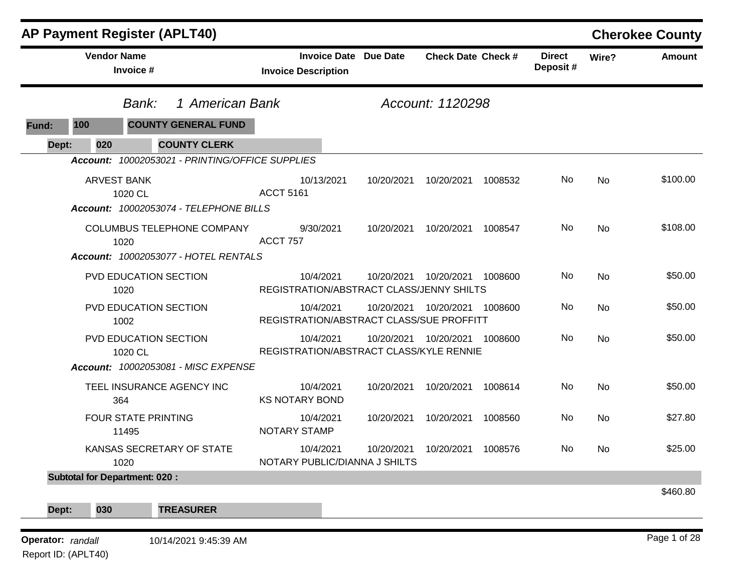|                   |                                      | <b>AP Payment Register (APLT40)</b>             |                                          |            |                              |                           |         |                           |       | <b>Cherokee County</b> |
|-------------------|--------------------------------------|-------------------------------------------------|------------------------------------------|------------|------------------------------|---------------------------|---------|---------------------------|-------|------------------------|
|                   | <b>Vendor Name</b>                   | Invoice #                                       | <b>Invoice Description</b>               |            | <b>Invoice Date Due Date</b> | <b>Check Date Check #</b> |         | <b>Direct</b><br>Deposit# | Wire? | <b>Amount</b>          |
|                   |                                      | 1 American Bank<br>Bank:                        |                                          |            |                              | Account: 1120298          |         |                           |       |                        |
| Fund:             | 100                                  | <b>COUNTY GENERAL FUND</b>                      |                                          |            |                              |                           |         |                           |       |                        |
| Dept:             | 020                                  | <b>COUNTY CLERK</b>                             |                                          |            |                              |                           |         |                           |       |                        |
|                   |                                      | Account: 10002053021 - PRINTING/OFFICE SUPPLIES |                                          |            |                              |                           |         |                           |       |                        |
|                   | <b>ARVEST BANK</b><br>1020 CL        |                                                 | <b>ACCT 5161</b>                         | 10/13/2021 | 10/20/2021                   | 10/20/2021                | 1008532 | No                        | No    | \$100.00               |
|                   |                                      | Account: 10002053074 - TELEPHONE BILLS          |                                          |            |                              |                           |         |                           |       |                        |
|                   | 1020                                 | COLUMBUS TELEPHONE COMPANY                      | <b>ACCT 757</b>                          | 9/30/2021  | 10/20/2021                   | 10/20/2021                | 1008547 | No.                       | No    | \$108.00               |
|                   |                                      | Account: 10002053077 - HOTEL RENTALS            |                                          |            |                              |                           |         |                           |       |                        |
|                   | 1020                                 | PVD EDUCATION SECTION                           | REGISTRATION/ABSTRACT CLASS/JENNY SHILTS | 10/4/2021  | 10/20/2021                   | 10/20/2021                | 1008600 | No                        | No    | \$50.00                |
|                   | 1002                                 | PVD EDUCATION SECTION                           | REGISTRATION/ABSTRACT CLASS/SUE PROFFITT | 10/4/2021  | 10/20/2021                   | 10/20/2021                | 1008600 | No                        | No    | \$50.00                |
|                   | 1020 CL                              | PVD EDUCATION SECTION                           | REGISTRATION/ABSTRACT CLASS/KYLE RENNIE  | 10/4/2021  | 10/20/2021                   | 10/20/2021                | 1008600 | No                        | No    | \$50.00                |
|                   |                                      | Account: 10002053081 - MISC EXPENSE             |                                          |            |                              |                           |         |                           |       |                        |
|                   | 364                                  | TEEL INSURANCE AGENCY INC                       | <b>KS NOTARY BOND</b>                    | 10/4/2021  | 10/20/2021                   | 10/20/2021                | 1008614 | No                        | No    | \$50.00                |
|                   | 11495                                | <b>FOUR STATE PRINTING</b>                      | <b>NOTARY STAMP</b>                      | 10/4/2021  | 10/20/2021                   | 10/20/2021                | 1008560 | No                        | No    | \$27.80                |
|                   | 1020                                 | KANSAS SECRETARY OF STATE                       | NOTARY PUBLIC/DIANNA J SHILTS            | 10/4/2021  | 10/20/2021                   | 10/20/2021                | 1008576 | No.                       | No    | \$25.00                |
|                   | <b>Subtotal for Department: 020:</b> |                                                 |                                          |            |                              |                           |         |                           |       |                        |
|                   | 030                                  | <b>TREASURER</b>                                |                                          |            |                              |                           |         |                           |       | \$460.80               |
| Dept:             |                                      |                                                 |                                          |            |                              |                           |         |                           |       |                        |
| Operator: randall |                                      | 10/14/2021 9:45:39 AM                           |                                          |            |                              |                           |         |                           |       | Page 1 of 28           |

Report ID: (APLT40)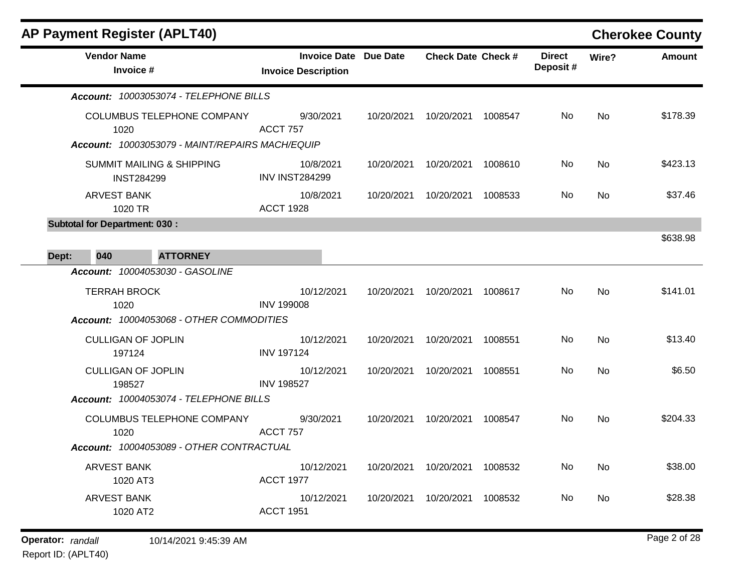|       |                                      | <b>AP Payment Register (APLT40)</b>                                                  |                                                            |            |                           |         |                           |           | <b>Cherokee County</b> |
|-------|--------------------------------------|--------------------------------------------------------------------------------------|------------------------------------------------------------|------------|---------------------------|---------|---------------------------|-----------|------------------------|
|       | <b>Vendor Name</b><br>Invoice #      |                                                                                      | <b>Invoice Date Due Date</b><br><b>Invoice Description</b> |            | <b>Check Date Check #</b> |         | <b>Direct</b><br>Deposit# | Wire?     | <b>Amount</b>          |
|       |                                      | Account: 10003053074 - TELEPHONE BILLS                                               |                                                            |            |                           |         |                           |           |                        |
|       | 1020                                 | <b>COLUMBUS TELEPHONE COMPANY</b><br>Account: 10003053079 - MAINT/REPAIRS MACH/EQUIP | 9/30/2021<br><b>ACCT 757</b>                               | 10/20/2021 | 10/20/2021 1008547        |         | No                        | <b>No</b> | \$178.39               |
|       | <b>INST284299</b>                    | <b>SUMMIT MAILING &amp; SHIPPING</b>                                                 | 10/8/2021<br><b>INV INST284299</b>                         | 10/20/2021 | 10/20/2021                | 1008610 | No                        | No        | \$423.13               |
|       | <b>ARVEST BANK</b><br>1020 TR        |                                                                                      | 10/8/2021<br><b>ACCT 1928</b>                              | 10/20/2021 | 10/20/2021                | 1008533 | No                        | No        | \$37.46                |
|       | <b>Subtotal for Department: 030:</b> |                                                                                      |                                                            |            |                           |         |                           |           | \$638.98               |
| Dept: | 040                                  | <b>ATTORNEY</b>                                                                      |                                                            |            |                           |         |                           |           |                        |
|       | <b>TERRAH BROCK</b><br>1020          | Account: 10004053030 - GASOLINE<br>Account: 10004053068 - OTHER COMMODITIES          | 10/12/2021<br><b>INV 199008</b>                            | 10/20/2021 | 10/20/2021                | 1008617 | No                        | No        | \$141.01               |
|       | <b>CULLIGAN OF JOPLIN</b><br>197124  |                                                                                      | 10/12/2021<br><b>INV 197124</b>                            | 10/20/2021 | 10/20/2021                | 1008551 | No                        | No        | \$13.40                |
|       | <b>CULLIGAN OF JOPLIN</b><br>198527  | Account: 10004053074 - TELEPHONE BILLS                                               | 10/12/2021<br><b>INV 198527</b>                            | 10/20/2021 | 10/20/2021                | 1008551 | No                        | No        | \$6.50                 |
|       | 1020                                 | COLUMBUS TELEPHONE COMPANY<br>Account: 10004053089 - OTHER CONTRACTUAL               | 9/30/2021<br><b>ACCT 757</b>                               | 10/20/2021 | 10/20/2021                | 1008547 | No                        | No        | \$204.33               |
|       | ARVEST BANK<br>1020 AT3              |                                                                                      | 10/12/2021<br><b>ACCT 1977</b>                             | 10/20/2021 | 10/20/2021 1008532        |         | No                        | No        | \$38.00                |
|       | <b>ARVEST BANK</b><br>1020 AT2       |                                                                                      | 10/12/2021<br><b>ACCT 1951</b>                             | 10/20/2021 | 10/20/2021 1008532        |         | No                        | No        | \$28.38                |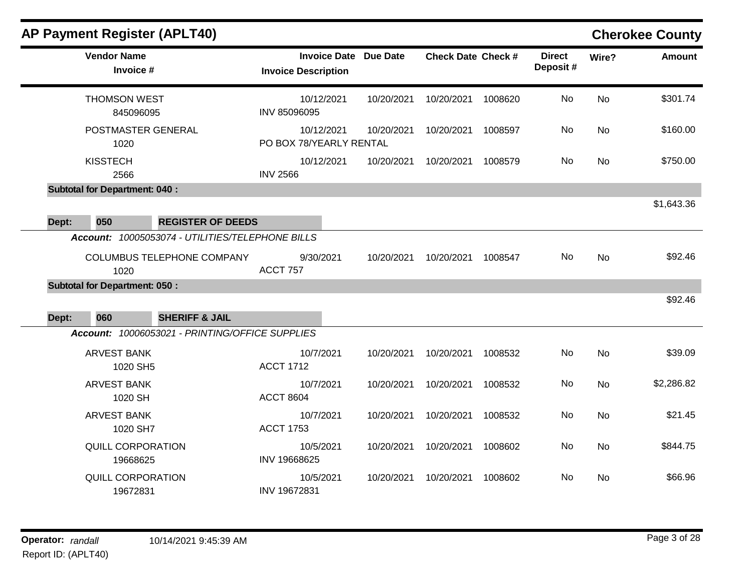|       |                         | <b>AP Payment Register (APLT40)</b>              |                                       |                              |                           |         |                           |           | <b>Cherokee County</b> |
|-------|-------------------------|--------------------------------------------------|---------------------------------------|------------------------------|---------------------------|---------|---------------------------|-----------|------------------------|
|       | <b>Vendor Name</b>      | Invoice #                                        | <b>Invoice Description</b>            | <b>Invoice Date Due Date</b> | <b>Check Date Check #</b> |         | <b>Direct</b><br>Deposit# | Wire?     | Amount                 |
|       | <b>THOMSON WEST</b>     | 845096095                                        | 10/12/2021<br>INV 85096095            | 10/20/2021                   | 10/20/2021                | 1008620 | No                        | <b>No</b> | \$301.74               |
|       | 1020                    | POSTMASTER GENERAL                               | 10/12/2021<br>PO BOX 78/YEARLY RENTAL | 10/20/2021                   | 10/20/2021                | 1008597 | No                        | No        | \$160.00               |
|       | <b>KISSTECH</b><br>2566 |                                                  | 10/12/2021<br><b>INV 2566</b>         | 10/20/2021                   | 10/20/2021                | 1008579 | No                        | No        | \$750.00               |
|       |                         | <b>Subtotal for Department: 040:</b>             |                                       |                              |                           |         |                           |           |                        |
| Dept: | 050                     | <b>REGISTER OF DEEDS</b>                         |                                       |                              |                           |         |                           |           | \$1,643.36             |
|       |                         | Account: 10005053074 - UTILITIES/TELEPHONE BILLS |                                       |                              |                           |         |                           |           |                        |
|       | 1020                    | COLUMBUS TELEPHONE COMPANY                       | 9/30/2021<br><b>ACCT 757</b>          | 10/20/2021                   | 10/20/2021                | 1008547 | No                        | <b>No</b> | \$92.46                |
|       |                         | <b>Subtotal for Department: 050:</b>             |                                       |                              |                           |         |                           |           |                        |
| Dept: | 060                     | <b>SHERIFF &amp; JAIL</b>                        |                                       |                              |                           |         |                           |           | \$92.46                |
|       |                         | Account: 10006053021 - PRINTING/OFFICE SUPPLIES  |                                       |                              |                           |         |                           |           |                        |
|       | ARVEST BANK             | 1020 SH5                                         | 10/7/2021<br><b>ACCT 1712</b>         | 10/20/2021                   | 10/20/2021                | 1008532 | No                        | No        | \$39.09                |
|       | ARVEST BANK             | 1020 SH                                          | 10/7/2021<br><b>ACCT 8604</b>         | 10/20/2021                   | 10/20/2021                | 1008532 | No                        | No        | \$2,286.82             |
|       | ARVEST BANK             | 1020 SH7                                         | 10/7/2021<br><b>ACCT 1753</b>         | 10/20/2021                   | 10/20/2021                | 1008532 | No                        | No        | \$21.45                |
|       |                         | <b>QUILL CORPORATION</b><br>19668625             | 10/5/2021<br>INV 19668625             | 10/20/2021                   | 10/20/2021                | 1008602 | No                        | No        | \$844.75               |
|       |                         | <b>QUILL CORPORATION</b><br>19672831             | 10/5/2021<br>INV 19672831             | 10/20/2021                   | 10/20/2021                | 1008602 | No.                       | No.       | \$66.96                |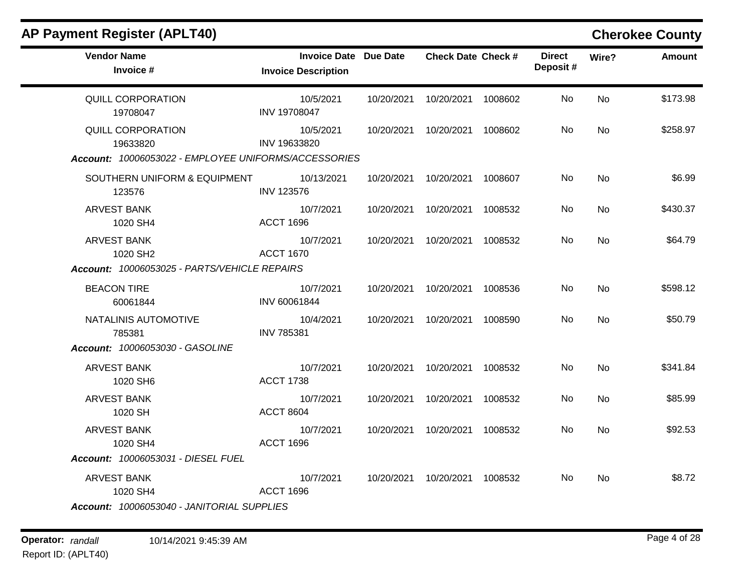| <b>AP Payment Register (APLT40)</b>                                            |                                                            |            |                           |         |                           |           | <b>Cherokee County</b> |
|--------------------------------------------------------------------------------|------------------------------------------------------------|------------|---------------------------|---------|---------------------------|-----------|------------------------|
| <b>Vendor Name</b><br>Invoice #                                                | <b>Invoice Date Due Date</b><br><b>Invoice Description</b> |            | <b>Check Date Check #</b> |         | <b>Direct</b><br>Deposit# | Wire?     | <b>Amount</b>          |
| <b>QUILL CORPORATION</b><br>19708047                                           | 10/5/2021<br>INV 19708047                                  | 10/20/2021 | 10/20/2021                | 1008602 | No                        | <b>No</b> | \$173.98               |
| <b>QUILL CORPORATION</b><br>19633820                                           | 10/5/2021<br>INV 19633820                                  | 10/20/2021 | 10/20/2021                | 1008602 | No.                       | <b>No</b> | \$258.97               |
| Account: 10006053022 - EMPLOYEE UNIFORMS/ACCESSORIES                           |                                                            |            |                           |         |                           |           |                        |
| SOUTHERN UNIFORM & EQUIPMENT<br>123576                                         | 10/13/2021<br><b>INV 123576</b>                            | 10/20/2021 | 10/20/2021                | 1008607 | No.                       | <b>No</b> | \$6.99                 |
| <b>ARVEST BANK</b><br>1020 SH4                                                 | 10/7/2021<br><b>ACCT 1696</b>                              | 10/20/2021 | 10/20/2021                | 1008532 | No.                       | <b>No</b> | \$430.37               |
| <b>ARVEST BANK</b><br>1020 SH2<br>Account: 10006053025 - PARTS/VEHICLE REPAIRS | 10/7/2021<br><b>ACCT 1670</b>                              | 10/20/2021 | 10/20/2021                | 1008532 | No.                       | <b>No</b> | \$64.79                |
| <b>BEACON TIRE</b><br>60061844                                                 | 10/7/2021<br>INV 60061844                                  | 10/20/2021 | 10/20/2021                | 1008536 | No.                       | <b>No</b> | \$598.12               |
| NATALINIS AUTOMOTIVE<br>785381                                                 | 10/4/2021<br><b>INV 785381</b>                             | 10/20/2021 | 10/20/2021                | 1008590 | No.                       | <b>No</b> | \$50.79                |
| Account: 10006053030 - GASOLINE                                                |                                                            |            |                           |         |                           |           |                        |
| <b>ARVEST BANK</b><br>1020 SH6                                                 | 10/7/2021<br><b>ACCT 1738</b>                              | 10/20/2021 | 10/20/2021                | 1008532 | No.                       | <b>No</b> | \$341.84               |
| <b>ARVEST BANK</b><br>1020 SH                                                  | 10/7/2021<br><b>ACCT 8604</b>                              | 10/20/2021 | 10/20/2021                | 1008532 | No.                       | <b>No</b> | \$85.99                |
| <b>ARVEST BANK</b><br>1020 SH4                                                 | 10/7/2021<br><b>ACCT 1696</b>                              | 10/20/2021 | 10/20/2021                | 1008532 | No.                       | No        | \$92.53                |
| Account: 10006053031 - DIESEL FUEL                                             |                                                            |            |                           |         |                           |           |                        |
| <b>ARVEST BANK</b><br>1020 SH4                                                 | 10/7/2021<br><b>ACCT 1696</b>                              | 10/20/2021 | 10/20/2021 1008532        |         | No.                       | <b>No</b> | \$8.72                 |
| Account: 10006053040 - JANITORIAL SUPPLIES                                     |                                                            |            |                           |         |                           |           |                        |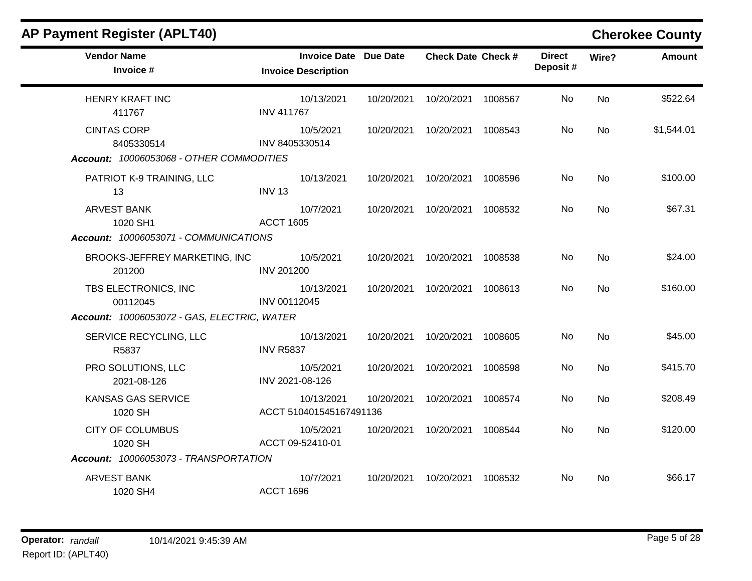| <b>AP Payment Register (APLT40)</b>                                             |                                                            |            |                           |         |                           |           | <b>Cherokee County</b> |
|---------------------------------------------------------------------------------|------------------------------------------------------------|------------|---------------------------|---------|---------------------------|-----------|------------------------|
| <b>Vendor Name</b><br>Invoice #                                                 | <b>Invoice Date Due Date</b><br><b>Invoice Description</b> |            | <b>Check Date Check #</b> |         | <b>Direct</b><br>Deposit# | Wire?     | Amount                 |
| <b>HENRY KRAFT INC</b><br>411767                                                | 10/13/2021<br><b>INV 411767</b>                            | 10/20/2021 | 10/20/2021                | 1008567 | No                        | <b>No</b> | \$522.64               |
| <b>CINTAS CORP</b><br>8405330514<br>Account: 10006053068 - OTHER COMMODITIES    | 10/5/2021<br>INV 8405330514                                | 10/20/2021 | 10/20/2021                | 1008543 | No                        | No        | \$1,544.01             |
| PATRIOT K-9 TRAINING, LLC<br>13                                                 | 10/13/2021<br><b>INV 13</b>                                | 10/20/2021 | 10/20/2021                | 1008596 | No.                       | No        | \$100.00               |
| <b>ARVEST BANK</b><br>1020 SH1<br>Account: 10006053071 - COMMUNICATIONS         | 10/7/2021<br><b>ACCT 1605</b>                              | 10/20/2021 | 10/20/2021                | 1008532 | No                        | <b>No</b> | \$67.31                |
| BROOKS-JEFFREY MARKETING, INC<br>201200                                         | 10/5/2021<br><b>INV 201200</b>                             | 10/20/2021 | 10/20/2021                | 1008538 | No.                       | <b>No</b> | \$24.00                |
| TBS ELECTRONICS, INC<br>00112045<br>Account: 10006053072 - GAS, ELECTRIC, WATER | 10/13/2021<br>INV 00112045                                 |            | 10/20/2021 10/20/2021     | 1008613 | No.                       | No        | \$160.00               |
| SERVICE RECYCLING, LLC<br>R5837                                                 | 10/13/2021<br><b>INV R5837</b>                             |            | 10/20/2021 10/20/2021     | 1008605 | No.                       | <b>No</b> | \$45.00                |
| PRO SOLUTIONS, LLC<br>2021-08-126                                               | 10/5/2021<br>INV 2021-08-126                               | 10/20/2021 | 10/20/2021                | 1008598 | No                        | No        | \$415.70               |
| KANSAS GAS SERVICE<br>1020 SH                                                   | 10/13/2021<br>ACCT 510401545167491136                      | 10/20/2021 | 10/20/2021                | 1008574 | No.                       | <b>No</b> | \$208.49               |
| <b>CITY OF COLUMBUS</b><br>1020 SH                                              | 10/5/2021<br>ACCT 09-52410-01                              | 10/20/2021 | 10/20/2021                | 1008544 | No                        | <b>No</b> | \$120.00               |
| Account: 10006053073 - TRANSPORTATION                                           |                                                            |            |                           |         |                           |           |                        |
| <b>ARVEST BANK</b><br>1020 SH4                                                  | 10/7/2021<br><b>ACCT 1696</b>                              | 10/20/2021 | 10/20/2021                | 1008532 | No.                       | No        | \$66.17                |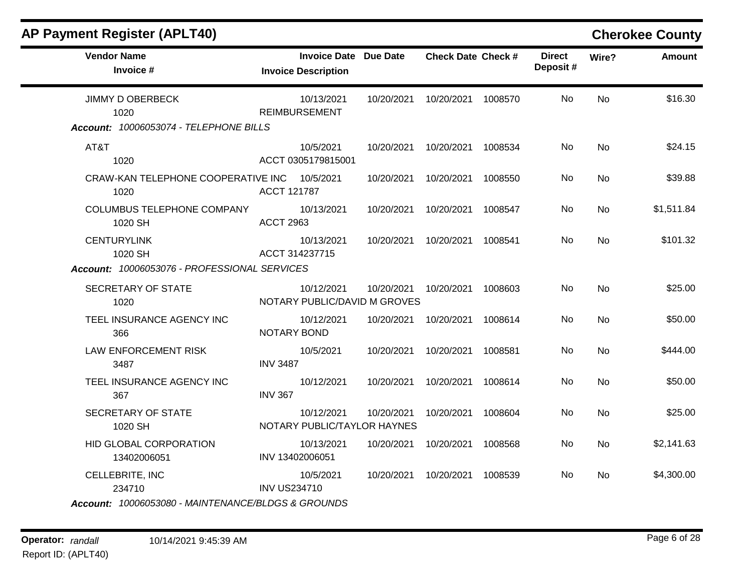| <b>AP Payment Register (APLT40)</b>          |                     |                                                            |                                            |                           |         |                           |           | <b>Cherokee County</b> |
|----------------------------------------------|---------------------|------------------------------------------------------------|--------------------------------------------|---------------------------|---------|---------------------------|-----------|------------------------|
| <b>Vendor Name</b><br>Invoice #              |                     | <b>Invoice Date Due Date</b><br><b>Invoice Description</b> |                                            | <b>Check Date Check #</b> |         | <b>Direct</b><br>Deposit# | Wire?     | <b>Amount</b>          |
| <b>JIMMY D OBERBECK</b><br>1020              |                     | 10/13/2021<br><b>REIMBURSEMENT</b>                         | 10/20/2021                                 | 10/20/2021 1008570        |         | No.                       | <b>No</b> | \$16.30                |
| Account: 10006053074 - TELEPHONE BILLS       |                     |                                                            |                                            |                           |         |                           |           |                        |
| AT&T<br>1020                                 |                     | 10/5/2021<br>ACCT 0305179815001                            | 10/20/2021                                 | 10/20/2021 1008534        |         | No                        | <b>No</b> | \$24.15                |
| CRAW-KAN TELEPHONE COOPERATIVE INC<br>1020   | ACCT 121787         | 10/5/2021                                                  | 10/20/2021                                 | 10/20/2021 1008550        |         | No                        | No        | \$39.88                |
| COLUMBUS TELEPHONE COMPANY<br>1020 SH        | <b>ACCT 2963</b>    | 10/13/2021                                                 | 10/20/2021                                 | 10/20/2021                | 1008547 | No.                       | <b>No</b> | \$1,511.84             |
| <b>CENTURYLINK</b><br>1020 SH                | ACCT 314237715      | 10/13/2021                                                 | 10/20/2021                                 | 10/20/2021 1008541        |         | No                        | <b>No</b> | \$101.32               |
| Account: 10006053076 - PROFESSIONAL SERVICES |                     |                                                            |                                            |                           |         |                           |           |                        |
| SECRETARY OF STATE<br>1020                   |                     | 10/12/2021                                                 | 10/20/2021<br>NOTARY PUBLIC/DAVID M GROVES | 10/20/2021 1008603        |         | No                        | <b>No</b> | \$25.00                |
| TEEL INSURANCE AGENCY INC<br>366             | NOTARY BOND         | 10/12/2021                                                 | 10/20/2021                                 | 10/20/2021                | 1008614 | No                        | No        | \$50.00                |
| LAW ENFORCEMENT RISK<br>3487                 | <b>INV 3487</b>     | 10/5/2021                                                  | 10/20/2021                                 | 10/20/2021                | 1008581 | No                        | <b>No</b> | \$444.00               |
| TEEL INSURANCE AGENCY INC<br>367             | <b>INV 367</b>      | 10/12/2021                                                 | 10/20/2021                                 | 10/20/2021                | 1008614 | N <sub>0</sub>            | <b>No</b> | \$50.00                |
| <b>SECRETARY OF STATE</b><br>1020 SH         |                     | 10/12/2021<br>NOTARY PUBLIC/TAYLOR HAYNES                  | 10/20/2021                                 | 10/20/2021                | 1008604 | No                        | <b>No</b> | \$25.00                |
| HID GLOBAL CORPORATION<br>13402006051        | INV 13402006051     | 10/13/2021                                                 | 10/20/2021                                 | 10/20/2021                | 1008568 | No.                       | No        | \$2,141.63             |
| CELLEBRITE, INC<br>234710                    | <b>INV US234710</b> | 10/5/2021                                                  | 10/20/2021                                 | 10/20/2021 1008539        |         | No.                       | No        | \$4,300.00             |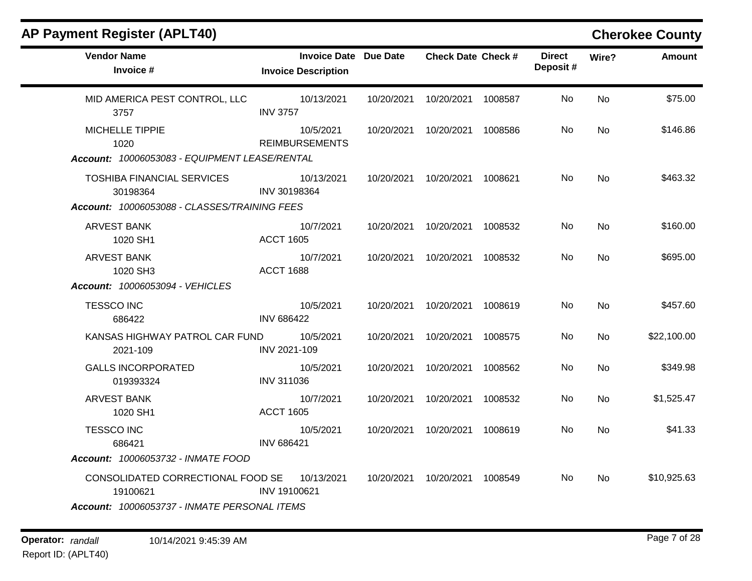| <b>AP Payment Register (APLT40)</b>           |                                                            |            |                           |         |                           |           | <b>Cherokee County</b> |
|-----------------------------------------------|------------------------------------------------------------|------------|---------------------------|---------|---------------------------|-----------|------------------------|
| <b>Vendor Name</b><br>Invoice #               | <b>Invoice Date Due Date</b><br><b>Invoice Description</b> |            | <b>Check Date Check #</b> |         | <b>Direct</b><br>Deposit# | Wire?     | <b>Amount</b>          |
| MID AMERICA PEST CONTROL, LLC<br>3757         | 10/13/2021<br><b>INV 3757</b>                              | 10/20/2021 | 10/20/2021                | 1008587 | No.                       | <b>No</b> | \$75.00                |
| <b>MICHELLE TIPPIE</b><br>1020                | 10/5/2021<br><b>REIMBURSEMENTS</b>                         | 10/20/2021 | 10/20/2021                | 1008586 | No                        | <b>No</b> | \$146.86               |
| Account: 10006053083 - EQUIPMENT LEASE/RENTAL |                                                            |            |                           |         |                           |           |                        |
| <b>TOSHIBA FINANCIAL SERVICES</b><br>30198364 | 10/13/2021<br>INV 30198364                                 | 10/20/2021 | 10/20/2021                | 1008621 | No                        | No        | \$463.32               |
| Account: 10006053088 - CLASSES/TRAINING FEES  |                                                            |            |                           |         |                           |           |                        |
| <b>ARVEST BANK</b><br>1020 SH1                | 10/7/2021<br><b>ACCT 1605</b>                              | 10/20/2021 | 10/20/2021                | 1008532 | No                        | <b>No</b> | \$160.00               |
| <b>ARVEST BANK</b><br>1020 SH3                | 10/7/2021<br><b>ACCT 1688</b>                              | 10/20/2021 | 10/20/2021                | 1008532 | No.                       | <b>No</b> | \$695.00               |
| Account: 10006053094 - VEHICLES               |                                                            |            |                           |         |                           |           |                        |
| <b>TESSCO INC</b><br>686422                   | 10/5/2021<br><b>INV 686422</b>                             | 10/20/2021 | 10/20/2021                | 1008619 | No                        | <b>No</b> | \$457.60               |
| KANSAS HIGHWAY PATROL CAR FUND<br>2021-109    | 10/5/2021<br>INV 2021-109                                  | 10/20/2021 | 10/20/2021                | 1008575 | No                        | No        | \$22,100.00            |
| <b>GALLS INCORPORATED</b><br>019393324        | 10/5/2021<br><b>INV 311036</b>                             | 10/20/2021 | 10/20/2021                | 1008562 | No                        | <b>No</b> | \$349.98               |
| <b>ARVEST BANK</b><br>1020 SH1                | 10/7/2021<br><b>ACCT 1605</b>                              | 10/20/2021 | 10/20/2021                | 1008532 | No                        | No        | \$1,525.47             |
| <b>TESSCO INC</b><br>686421                   | 10/5/2021<br><b>INV 686421</b>                             | 10/20/2021 | 10/20/2021                | 1008619 | No.                       | No        | \$41.33                |
| <b>Account: 10006053732 - INMATE FOOD</b>     |                                                            |            |                           |         |                           |           |                        |
| CONSOLIDATED CORRECTIONAL FOOD SE<br>19100621 | 10/13/2021<br>INV 19100621                                 | 10/20/2021 | 10/20/2021                | 1008549 | No.                       | <b>No</b> | \$10,925.63            |
| Account: 10006053737 - INMATE PERSONAL ITEMS  |                                                            |            |                           |         |                           |           |                        |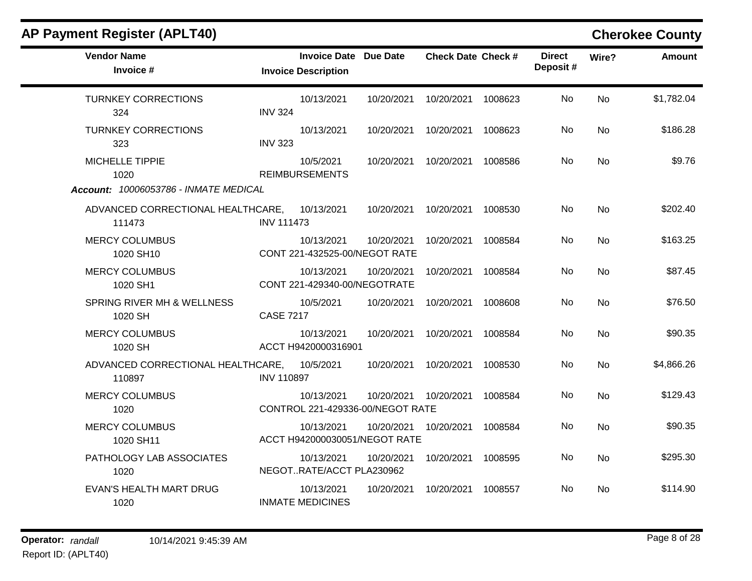| <b>Vendor Name</b><br>Invoice #                                         | <b>Invoice Description</b>                     | <b>Invoice Date Due Date</b> | <b>Check Date Check #</b>       |         | <b>Direct</b><br>Deposit# | Wire?     | <b>Amount</b> |
|-------------------------------------------------------------------------|------------------------------------------------|------------------------------|---------------------------------|---------|---------------------------|-----------|---------------|
| <b>TURNKEY CORRECTIONS</b><br>324                                       | 10/13/2021<br><b>INV 324</b>                   |                              | 10/20/2021  10/20/2021  1008623 |         | No                        | <b>No</b> | \$1,782.04    |
| <b>TURNKEY CORRECTIONS</b><br>323                                       | 10/13/2021<br><b>INV 323</b>                   | 10/20/2021                   | 10/20/2021                      | 1008623 | No                        | <b>No</b> | \$186.28      |
| <b>MICHELLE TIPPIE</b><br>1020<br>Account: 10006053786 - INMATE MEDICAL | 10/5/2021<br><b>REIMBURSEMENTS</b>             |                              | 10/20/2021  10/20/2021          | 1008586 | No                        | <b>No</b> | \$9.76        |
| ADVANCED CORRECTIONAL HEALTHCARE, 10/13/2021<br>111473                  | <b>INV 111473</b>                              |                              | 10/20/2021  10/20/2021  1008530 |         | No                        | <b>No</b> | \$202.40      |
| <b>MERCY COLUMBUS</b><br>1020 SH10                                      | 10/13/2021<br>CONT 221-432525-00/NEGOT RATE    |                              | 10/20/2021  10/20/2021  1008584 |         | No.                       | <b>No</b> | \$163.25      |
| <b>MERCY COLUMBUS</b><br>1020 SH1                                       | 10/13/2021<br>CONT 221-429340-00/NEGOTRATE     | 10/20/2021                   | 10/20/2021                      | 1008584 | No                        | <b>No</b> | \$87.45       |
| SPRING RIVER MH & WELLNESS<br>1020 SH                                   | 10/5/2021<br><b>CASE 7217</b>                  |                              | 10/20/2021  10/20/2021          | 1008608 | No                        | <b>No</b> | \$76.50       |
| <b>MERCY COLUMBUS</b><br>1020 SH                                        | 10/13/2021<br>ACCT H9420000316901              | 10/20/2021                   | 10/20/2021                      | 1008584 | No                        | <b>No</b> | \$90.35       |
| ADVANCED CORRECTIONAL HEALTHCARE, 10/5/2021<br>110897                   | <b>INV 110897</b>                              |                              | 10/20/2021 10/20/2021           | 1008530 | <b>No</b>                 | No        | \$4,866.26    |
| <b>MERCY COLUMBUS</b><br>1020                                           | 10/13/2021<br>CONTROL 221-429336-00/NEGOT RATE |                              | 10/20/2021 10/20/2021           | 1008584 | No                        | <b>No</b> | \$129.43      |
| <b>MERCY COLUMBUS</b><br>1020 SH11                                      | 10/13/2021<br>ACCT H942000030051/NEGOT RATE    |                              | 10/20/2021  10/20/2021          | 1008584 | No                        | No        | \$90.35       |
| PATHOLOGY LAB ASSOCIATES<br>1020                                        | 10/13/2021<br>NEGOTRATE/ACCT PLA230962         | 10/20/2021                   | 10/20/2021                      | 1008595 | No                        | <b>No</b> | \$295.30      |
| <b>EVAN'S HEALTH MART DRUG</b><br>1020                                  | 10/13/2021<br><b>INMATE MEDICINES</b>          |                              | 10/20/2021 10/20/2021           | 1008557 | No                        | <b>No</b> | \$114.90      |
|                                                                         |                                                |                              |                                 |         |                           |           |               |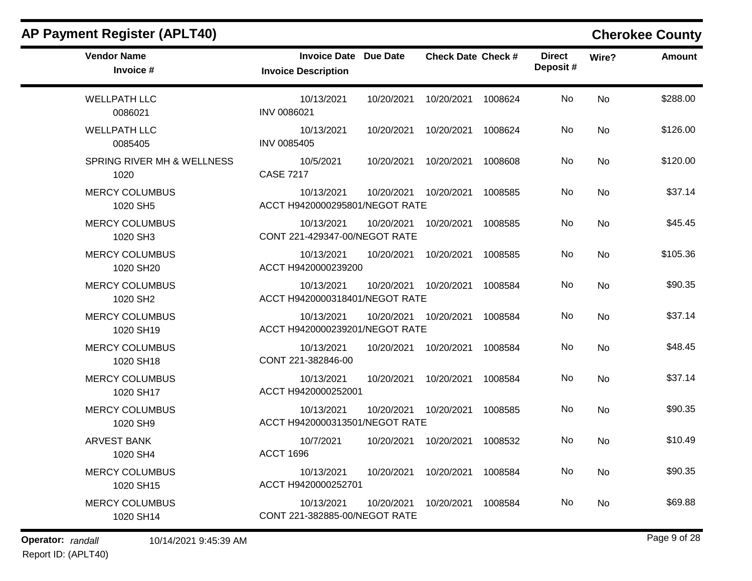| <b>AP Payment Register (APLT40)</b> |                                                            |                           |                           |           | <b>Cherokee County</b> |
|-------------------------------------|------------------------------------------------------------|---------------------------|---------------------------|-----------|------------------------|
| <b>Vendor Name</b><br>Invoice #     | <b>Invoice Date Due Date</b><br><b>Invoice Description</b> | <b>Check Date Check #</b> | <b>Direct</b><br>Deposit# | Wire?     | Amount                 |
| <b>WELLPATH LLC</b><br>0086021      | 10/13/2021<br>10/20/2021<br>INV 0086021                    | 10/20/2021                | No<br>1008624             | <b>No</b> | \$288.00               |
| <b>WELLPATH LLC</b><br>0085405      | 10/13/2021<br>10/20/2021<br><b>INV 0085405</b>             | 10/20/2021                | No<br>1008624             | No        | \$126.00               |
| SPRING RIVER MH & WELLNESS<br>1020  | 10/5/2021<br>10/20/2021<br><b>CASE 7217</b>                | 10/20/2021                | No<br>1008608             | No        | \$120.00               |
| <b>MERCY COLUMBUS</b><br>1020 SH5   | 10/13/2021<br>10/20/2021<br>ACCT H9420000295801/NEGOT RATE | 10/20/2021                | No<br>1008585             | <b>No</b> | \$37.14                |
| <b>MERCY COLUMBUS</b><br>1020 SH3   | 10/13/2021<br>10/20/2021<br>CONT 221-429347-00/NEGOT RATE  | 10/20/2021                | No<br>1008585             | No        | \$45.45                |
| <b>MERCY COLUMBUS</b><br>1020 SH20  | 10/13/2021<br>10/20/2021<br>ACCT H9420000239200            | 10/20/2021                | No<br>1008585             | No        | \$105.36               |
| <b>MERCY COLUMBUS</b><br>1020 SH2   | 10/13/2021<br>10/20/2021<br>ACCT H9420000318401/NEGOT RATE | 10/20/2021                | No<br>1008584             | No        | \$90.35                |
| <b>MERCY COLUMBUS</b><br>1020 SH19  | 10/13/2021<br>10/20/2021<br>ACCT H9420000239201/NEGOT RATE | 10/20/2021                | No<br>1008584             | <b>No</b> | \$37.14                |
| <b>MERCY COLUMBUS</b><br>1020 SH18  | 10/13/2021<br>10/20/2021<br>CONT 221-382846-00             | 10/20/2021                | No<br>1008584             | <b>No</b> | \$48.45                |
| <b>MERCY COLUMBUS</b><br>1020 SH17  | 10/13/2021<br>10/20/2021<br>ACCT H9420000252001            | 10/20/2021                | No<br>1008584             | <b>No</b> | \$37.14                |
| <b>MERCY COLUMBUS</b><br>1020 SH9   | 10/13/2021<br>10/20/2021<br>ACCT H9420000313501/NEGOT RATE | 10/20/2021                | No<br>1008585             | No        | \$90.35                |
| <b>ARVEST BANK</b><br>1020 SH4      | 10/7/2021<br>10/20/2021<br><b>ACCT 1696</b>                | 10/20/2021                | No<br>1008532             | No        | \$10.49                |
| <b>MERCY COLUMBUS</b><br>1020 SH15  | 10/13/2021<br>10/20/2021<br>ACCT H9420000252701            | 10/20/2021                | No<br>1008584             | No        | \$90.35                |
| <b>MERCY COLUMBUS</b><br>1020 SH14  | 10/13/2021<br>10/20/2021<br>CONT 221-382885-00/NEGOT RATE  | 10/20/2021                | No<br>1008584             | No        | \$69.88                |

**Operator:** randall 10/14/2021 9:45:39 AM *Page 9 of 28 Page 9 of 28* 

Report ID: (APLT40)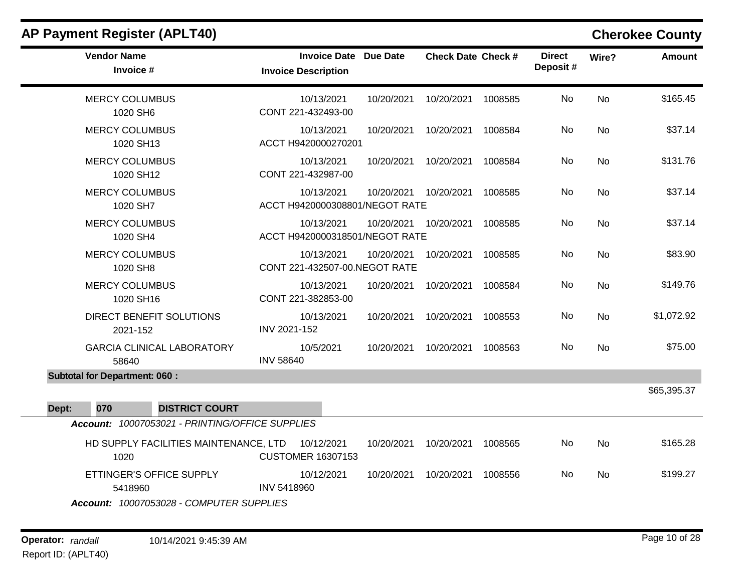| <b>AP Payment Register (APLT40)</b>                                             |                                                   |            |                           |         |                           |           | <b>Cherokee County</b> |
|---------------------------------------------------------------------------------|---------------------------------------------------|------------|---------------------------|---------|---------------------------|-----------|------------------------|
| <b>Vendor Name</b><br>Invoice #                                                 | <b>Invoice Date</b><br><b>Invoice Description</b> | Due Date   | <b>Check Date Check #</b> |         | <b>Direct</b><br>Deposit# | Wire?     | <b>Amount</b>          |
| <b>MERCY COLUMBUS</b><br>1020 SH6                                               | 10/13/2021<br>CONT 221-432493-00                  | 10/20/2021 | 10/20/2021                | 1008585 | No.                       | <b>No</b> | \$165.45               |
| <b>MERCY COLUMBUS</b><br>1020 SH13                                              | 10/13/2021<br>ACCT H9420000270201                 | 10/20/2021 | 10/20/2021                | 1008584 | <b>No</b>                 | <b>No</b> | \$37.14                |
| <b>MERCY COLUMBUS</b><br>1020 SH12                                              | 10/13/2021<br>CONT 221-432987-00                  | 10/20/2021 | 10/20/2021                | 1008584 | No                        | <b>No</b> | \$131.76               |
| <b>MERCY COLUMBUS</b><br>1020 SH7                                               | 10/13/2021<br>ACCT H9420000308801/NEGOT RATE      | 10/20/2021 | 10/20/2021                | 1008585 | No                        | <b>No</b> | \$37.14                |
| <b>MERCY COLUMBUS</b><br>1020 SH4                                               | 10/13/2021<br>ACCT H9420000318501/NEGOT RATE      | 10/20/2021 | 10/20/2021                | 1008585 | No                        | <b>No</b> | \$37.14                |
| <b>MERCY COLUMBUS</b><br>1020 SH8                                               | 10/13/2021<br>CONT 221-432507-00.NEGOT RATE       | 10/20/2021 | 10/20/2021                | 1008585 | <b>No</b>                 | <b>No</b> | \$83.90                |
| <b>MERCY COLUMBUS</b><br>1020 SH16                                              | 10/13/2021<br>CONT 221-382853-00                  | 10/20/2021 | 10/20/2021                | 1008584 | No                        | No        | \$149.76               |
| DIRECT BENEFIT SOLUTIONS<br>2021-152                                            | 10/13/2021<br>INV 2021-152                        | 10/20/2021 | 10/20/2021                | 1008553 | No.                       | No        | \$1,072.92             |
| <b>GARCIA CLINICAL LABORATORY</b><br>58640                                      | 10/5/2021<br><b>INV 58640</b>                     | 10/20/2021 | 10/20/2021                | 1008563 | <b>No</b>                 | <b>No</b> | \$75.00                |
| <b>Subtotal for Department: 060:</b>                                            |                                                   |            |                           |         |                           |           |                        |
| 070<br><b>DISTRICT COURT</b><br>Dept:                                           |                                                   |            |                           |         |                           |           | \$65,395.37            |
| Account: 10007053021 - PRINTING/OFFICE SUPPLIES                                 |                                                   |            |                           |         |                           |           |                        |
| HD SUPPLY FACILITIES MAINTENANCE, LTD<br>1020                                   | 10/12/2021<br><b>CUSTOMER 16307153</b>            | 10/20/2021 | 10/20/2021                | 1008565 | No                        | <b>No</b> | \$165.28               |
| ETTINGER'S OFFICE SUPPLY<br>5418960<br>Account: 10007053028 - COMPUTER SUPPLIES | 10/12/2021<br><b>INV 5418960</b>                  | 10/20/2021 | 10/20/2021                | 1008556 | No                        | <b>No</b> | \$199.27               |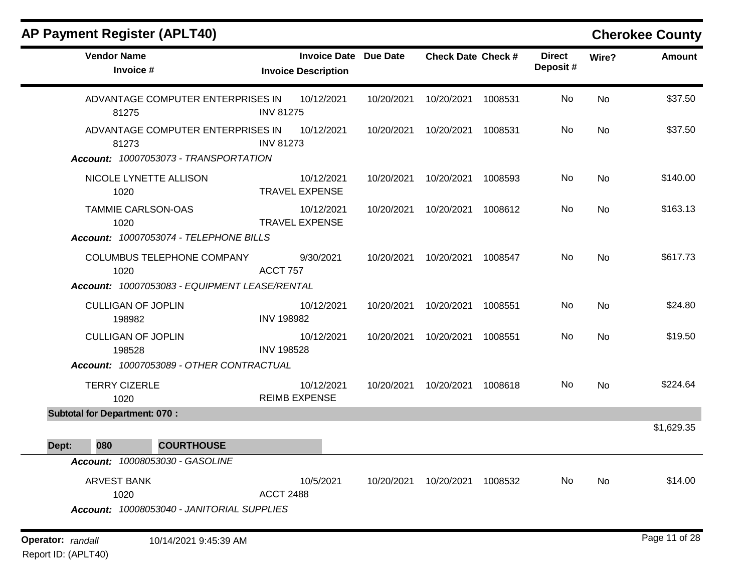| <b>AP Payment Register (APLT40)</b>                                      |                   |                                                   |                 |                           |         |                           |       | <b>Cherokee County</b> |
|--------------------------------------------------------------------------|-------------------|---------------------------------------------------|-----------------|---------------------------|---------|---------------------------|-------|------------------------|
| <b>Vendor Name</b><br>Invoice #                                          |                   | <b>Invoice Date</b><br><b>Invoice Description</b> | <b>Due Date</b> | <b>Check Date Check #</b> |         | <b>Direct</b><br>Deposit# | Wire? | <b>Amount</b>          |
| ADVANTAGE COMPUTER ENTERPRISES IN<br>81275                               | <b>INV 81275</b>  | 10/12/2021                                        | 10/20/2021      | 10/20/2021                | 1008531 | No                        | No    | \$37.50                |
| ADVANTAGE COMPUTER ENTERPRISES IN<br>81273                               | <b>INV 81273</b>  | 10/12/2021                                        | 10/20/2021      | 10/20/2021                | 1008531 | No                        | No    | \$37.50                |
| Account: 10007053073 - TRANSPORTATION                                    |                   |                                                   |                 |                           |         |                           |       |                        |
| NICOLE LYNETTE ALLISON<br>1020                                           |                   | 10/12/2021<br><b>TRAVEL EXPENSE</b>               | 10/20/2021      | 10/20/2021                | 1008593 | No                        | No    | \$140.00               |
| <b>TAMMIE CARLSON-OAS</b><br>1020                                        |                   | 10/12/2021<br><b>TRAVEL EXPENSE</b>               | 10/20/2021      | 10/20/2021                | 1008612 | No                        | No    | \$163.13               |
| Account: 10007053074 - TELEPHONE BILLS                                   |                   |                                                   |                 |                           |         |                           |       |                        |
| COLUMBUS TELEPHONE COMPANY<br>1020                                       | ACCT 757          | 9/30/2021                                         | 10/20/2021      | 10/20/2021                | 1008547 | No                        | No    | \$617.73               |
| Account: 10007053083 - EQUIPMENT LEASE/RENTAL                            |                   |                                                   |                 |                           |         |                           |       |                        |
| <b>CULLIGAN OF JOPLIN</b><br>198982                                      | <b>INV 198982</b> | 10/12/2021                                        | 10/20/2021      | 10/20/2021                | 1008551 | No                        | No    | \$24.80                |
| <b>CULLIGAN OF JOPLIN</b><br>198528                                      | <b>INV 198528</b> | 10/12/2021                                        | 10/20/2021      | 10/20/2021                | 1008551 | No                        | No    | \$19.50                |
| Account: 10007053089 - OTHER CONTRACTUAL                                 |                   |                                                   |                 |                           |         |                           |       |                        |
| <b>TERRY CIZERLE</b><br>1020                                             |                   | 10/12/2021<br><b>REIMB EXPENSE</b>                | 10/20/2021      | 10/20/2021                | 1008618 | No                        | No    | \$224.64               |
| <b>Subtotal for Department: 070:</b>                                     |                   |                                                   |                 |                           |         |                           |       |                        |
|                                                                          |                   |                                                   |                 |                           |         |                           |       | \$1,629.35             |
| <b>Dept: 080</b><br><b>COURTHOUSE</b>                                    |                   |                                                   |                 |                           |         |                           |       |                        |
| Account: 10008053030 - GASOLINE                                          |                   |                                                   |                 |                           |         |                           |       |                        |
| <b>ARVEST BANK</b><br>1020<br>Account: 10008053040 - JANITORIAL SUPPLIES | <b>ACCT 2488</b>  | 10/5/2021                                         | 10/20/2021      | 10/20/2021                | 1008532 | No                        | No    | \$14.00                |
|                                                                          |                   |                                                   |                 |                           |         |                           |       |                        |
| Operator: randall<br>10/14/2021 9:45:39 AM                               |                   |                                                   |                 |                           |         |                           |       | Page 11 of 28          |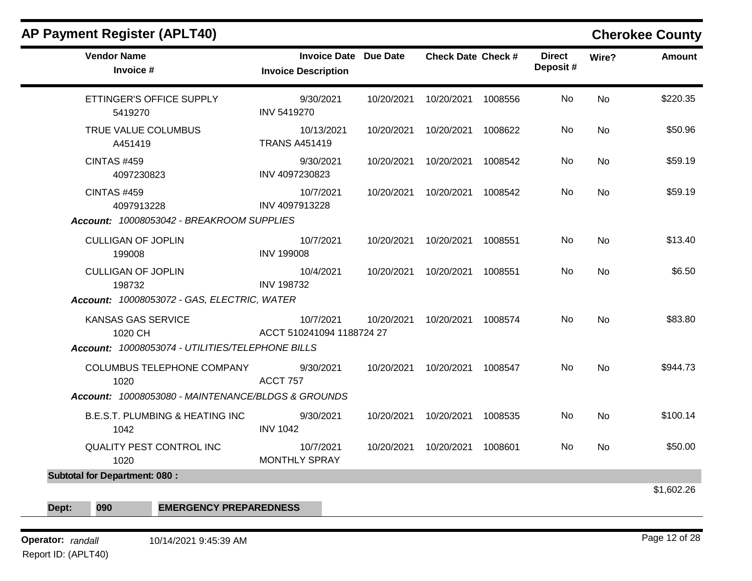| <b>Vendor Name</b><br>Invoice #                     | Invoice Date Due Date<br><b>Invoice Description</b> | <b>Check Date Check #</b>       |         | <b>Direct</b><br>Deposit # | Wire?     | <b>Amount</b> |
|-----------------------------------------------------|-----------------------------------------------------|---------------------------------|---------|----------------------------|-----------|---------------|
| ETTINGER'S OFFICE SUPPLY<br>5419270                 | 9/30/2021<br>INV 5419270                            | 10/20/2021  10/20/2021  1008556 |         | No.                        | <b>No</b> | \$220.35      |
| TRUE VALUE COLUMBUS<br>A451419                      | 10/13/2021<br><b>TRANS A451419</b>                  | 10/20/2021  10/20/2021  1008622 |         | No                         | <b>No</b> | \$50.96       |
| CINTAS #459<br>4097230823                           | 9/30/2021<br>INV 4097230823                         | 10/20/2021  10/20/2021          | 1008542 | No                         | No        | \$59.19       |
| <b>CINTAS #459</b><br>4097913228                    | 10/7/2021<br>INV 4097913228                         | 10/20/2021  10/20/2021  1008542 |         | No.                        | <b>No</b> | \$59.19       |
| Account: 10008053042 - BREAKROOM SUPPLIES           |                                                     |                                 |         |                            |           |               |
| <b>CULLIGAN OF JOPLIN</b><br>199008                 | 10/7/2021<br><b>INV 199008</b>                      | 10/20/2021  10/20/2021  1008551 |         | No.                        | No        | \$13.40       |
| <b>CULLIGAN OF JOPLIN</b><br>198732                 | 10/4/2021<br><b>INV 198732</b>                      | 10/20/2021  10/20/2021  1008551 |         | No                         | No        | \$6.50        |
| Account: 10008053072 - GAS, ELECTRIC, WATER         |                                                     |                                 |         |                            |           |               |
| KANSAS GAS SERVICE<br>1020 CH                       | 10/7/2021<br>ACCT 510241094 1188724 27              | 10/20/2021  10/20/2021  1008574 |         | No.                        | <b>No</b> | \$83.80       |
| Account: 10008053074 - UTILITIES/TELEPHONE BILLS    |                                                     |                                 |         |                            |           |               |
| COLUMBUS TELEPHONE COMPANY 9/30/2021<br>1020        | <b>ACCT 757</b>                                     | 10/20/2021  10/20/2021  1008547 |         | No.                        | No        | \$944.73      |
| Account: 10008053080 - MAINTENANCE/BLDGS & GROUNDS  |                                                     |                                 |         |                            |           |               |
| <b>B.E.S.T. PLUMBING &amp; HEATING INC.</b><br>1042 | 9/30/2021<br><b>INV 1042</b>                        | 10/20/2021  10/20/2021  1008535 |         | No.                        | <b>No</b> | \$100.14      |
| <b>QUALITY PEST CONTROL INC</b><br>1020             | 10/7/2021<br><b>MONTHLY SPRAY</b>                   | 10/20/2021  10/20/2021  1008601 |         | No                         | No        | \$50.00       |
| <b>Subtotal for Department: 080:</b>                |                                                     |                                 |         |                            |           |               |
|                                                     |                                                     |                                 |         |                            |           | \$1,602.26    |
| 090<br><b>EMERGENCY PREPAREDNESS</b><br>Dept:       |                                                     |                                 |         |                            |           |               |

**Operator:** randall 10/14/2021 9:45:39 AM *Page 12 of 28 Page 12 of 28* Report ID: (APLT40)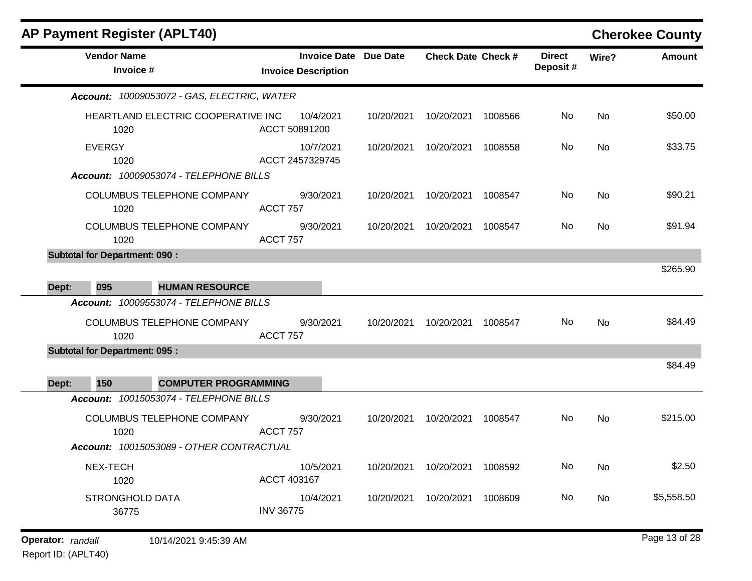| <b>AP Payment Register (APLT40)</b>                                           |                                                            |            |                           |         |                           |           | <b>Cherokee County</b> |
|-------------------------------------------------------------------------------|------------------------------------------------------------|------------|---------------------------|---------|---------------------------|-----------|------------------------|
| <b>Vendor Name</b><br>Invoice #                                               | <b>Invoice Date Due Date</b><br><b>Invoice Description</b> |            | <b>Check Date Check #</b> |         | <b>Direct</b><br>Deposit# | Wire?     | <b>Amount</b>          |
| Account: 10009053072 - GAS, ELECTRIC, WATER                                   |                                                            |            |                           |         |                           |           |                        |
| HEARTLAND ELECTRIC COOPERATIVE INC<br>1020                                    | 10/4/2021<br>ACCT 50891200                                 | 10/20/2021 | 10/20/2021                | 1008566 | No                        | No        | \$50.00                |
| <b>EVERGY</b><br>1020                                                         | 10/7/2021<br>ACCT 2457329745                               | 10/20/2021 | 10/20/2021                | 1008558 | No                        | No        | \$33.75                |
| Account: 10009053074 - TELEPHONE BILLS<br>COLUMBUS TELEPHONE COMPANY<br>1020  | 9/30/2021<br><b>ACCT 757</b>                               | 10/20/2021 | 10/20/2021                | 1008547 | No                        | No        | \$90.21                |
| COLUMBUS TELEPHONE COMPANY<br>1020                                            | 9/30/2021<br><b>ACCT 757</b>                               | 10/20/2021 | 10/20/2021                | 1008547 | No                        | <b>No</b> | \$91.94                |
| <b>Subtotal for Department: 090:</b><br>095<br><b>HUMAN RESOURCE</b><br>Dept: |                                                            |            |                           |         |                           |           | \$265.90               |
| Account: 10009553074 - TELEPHONE BILLS                                        |                                                            |            |                           |         |                           |           |                        |
| COLUMBUS TELEPHONE COMPANY<br>1020                                            | 9/30/2021<br><b>ACCT 757</b>                               | 10/20/2021 | 10/20/2021                | 1008547 | No                        | No        | \$84.49                |
| <b>Subtotal for Department: 095:</b>                                          |                                                            |            |                           |         |                           |           |                        |
| 150<br>Dept:<br><b>COMPUTER PROGRAMMING</b>                                   |                                                            |            |                           |         |                           |           | \$84.49                |
| Account: 10015053074 - TELEPHONE BILLS                                        |                                                            |            |                           |         |                           |           |                        |
| COLUMBUS TELEPHONE COMPANY<br>1020                                            | 9/30/2021<br><b>ACCT 757</b>                               | 10/20/2021 | 10/20/2021                | 1008547 | No.                       | No        | \$215.00               |
| Account: 10015053089 - OTHER CONTRACTUAL                                      |                                                            |            |                           |         |                           |           |                        |
| NEX-TECH<br>1020                                                              | 10/5/2021<br>ACCT 403167                                   | 10/20/2021 | 10/20/2021 1008592        |         | No                        | No        | \$2.50                 |
| <b>STRONGHOLD DATA</b><br>36775                                               | 10/4/2021<br><b>INV 36775</b>                              | 10/20/2021 | 10/20/2021 1008609        |         | No                        | No        | \$5,558.50             |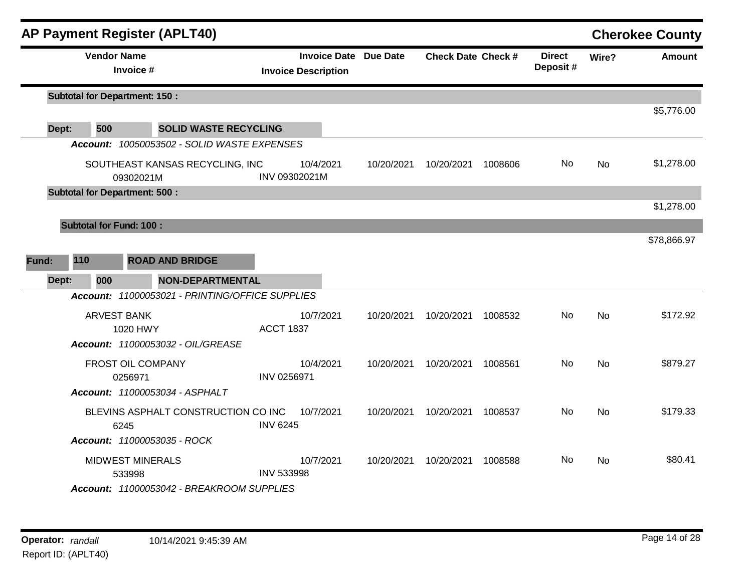|              | <b>AP Payment Register (APLT40)</b>                                            |                                                            |            |                           |         |                           |           | <b>Cherokee County</b> |
|--------------|--------------------------------------------------------------------------------|------------------------------------------------------------|------------|---------------------------|---------|---------------------------|-----------|------------------------|
|              | <b>Vendor Name</b><br>Invoice #                                                | <b>Invoice Date Due Date</b><br><b>Invoice Description</b> |            | <b>Check Date Check #</b> |         | <b>Direct</b><br>Deposit# | Wire?     | <b>Amount</b>          |
|              | <b>Subtotal for Department: 150:</b>                                           |                                                            |            |                           |         |                           |           |                        |
| 500<br>Dept: | <b>SOLID WASTE RECYCLING</b>                                                   |                                                            |            |                           |         |                           |           | \$5,776.00             |
|              | Account: 10050053502 - SOLID WASTE EXPENSES                                    |                                                            |            |                           |         |                           |           |                        |
|              | SOUTHEAST KANSAS RECYCLING, INC<br>09302021M                                   | 10/4/2021<br>INV 09302021M                                 | 10/20/2021 | 10/20/2021                | 1008606 | No                        | <b>No</b> | \$1,278.00             |
|              | <b>Subtotal for Department: 500:</b>                                           |                                                            |            |                           |         |                           |           |                        |
|              |                                                                                |                                                            |            |                           |         |                           |           | \$1,278.00             |
|              | <b>Subtotal for Fund: 100:</b>                                                 |                                                            |            |                           |         |                           |           |                        |
|              |                                                                                |                                                            |            |                           |         |                           |           | \$78,866.97            |
| 110<br>Fund: | <b>ROAD AND BRIDGE</b>                                                         |                                                            |            |                           |         |                           |           |                        |
| Dept:<br>000 | <b>NON-DEPARTMENTAL</b>                                                        |                                                            |            |                           |         |                           |           |                        |
|              | Account: 11000053021 - PRINTING/OFFICE SUPPLIES                                |                                                            |            |                           |         |                           |           |                        |
|              | <b>ARVEST BANK</b><br>1020 HWY                                                 | 10/7/2021<br><b>ACCT 1837</b>                              | 10/20/2021 | 10/20/2021                | 1008532 | No.                       | <b>No</b> | \$172.92               |
|              | Account: 11000053032 - OIL/GREASE                                              |                                                            |            |                           |         |                           |           |                        |
|              | FROST OIL COMPANY<br>0256971                                                   | 10/4/2021<br>INV 0256971                                   | 10/20/2021 | 10/20/2021                | 1008561 | No.                       | No        | \$879.27               |
|              | Account: 11000053034 - ASPHALT                                                 |                                                            |            |                           |         |                           |           |                        |
|              | BLEVINS ASPHALT CONSTRUCTION CO INC<br>6245                                    | 10/7/2021<br><b>INV 6245</b>                               | 10/20/2021 | 10/20/2021                | 1008537 | No                        | <b>No</b> | \$179.33               |
|              | <b>Account: 11000053035 - ROCK</b>                                             |                                                            |            |                           |         |                           |           |                        |
|              | <b>MIDWEST MINERALS</b><br>533998<br>Account: 11000053042 - BREAKROOM SUPPLIES | 10/7/2021<br><b>INV 533998</b>                             | 10/20/2021 | 10/20/2021                | 1008588 | No                        | <b>No</b> | \$80.41                |
|              |                                                                                |                                                            |            |                           |         |                           |           |                        |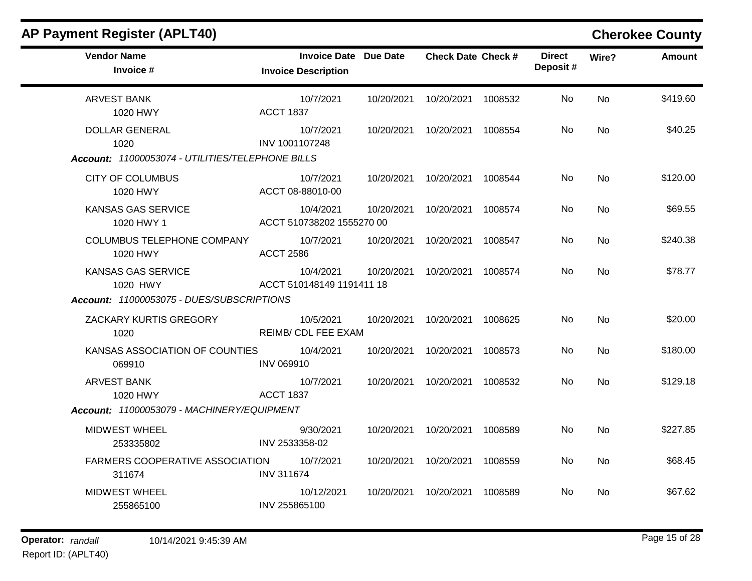| <b>AP Payment Register (APLT40)</b>              |                                                            |            |                           |         |                           |           | <b>Cherokee County</b> |
|--------------------------------------------------|------------------------------------------------------------|------------|---------------------------|---------|---------------------------|-----------|------------------------|
| <b>Vendor Name</b><br>Invoice #                  | <b>Invoice Date Due Date</b><br><b>Invoice Description</b> |            | <b>Check Date Check #</b> |         | <b>Direct</b><br>Deposit# | Wire?     | <b>Amount</b>          |
| <b>ARVEST BANK</b><br>1020 HWY                   | 10/7/2021<br><b>ACCT 1837</b>                              | 10/20/2021 | 10/20/2021                | 1008532 | No                        | <b>No</b> | \$419.60               |
| <b>DOLLAR GENERAL</b><br>1020                    | 10/7/2021<br>INV 1001107248                                |            | 10/20/2021 10/20/2021     | 1008554 | No                        | <b>No</b> | \$40.25                |
| Account: 11000053074 - UTILITIES/TELEPHONE BILLS |                                                            |            |                           |         |                           |           |                        |
| <b>CITY OF COLUMBUS</b><br>1020 HWY              | 10/7/2021<br>ACCT 08-88010-00                              |            | 10/20/2021 10/20/2021     | 1008544 | No                        | <b>No</b> | \$120.00               |
| <b>KANSAS GAS SERVICE</b><br>1020 HWY 1          | 10/4/2021<br>ACCT 510738202 1555270 00                     | 10/20/2021 | 10/20/2021                | 1008574 | No                        | <b>No</b> | \$69.55                |
| <b>COLUMBUS TELEPHONE COMPANY</b><br>1020 HWY    | 10/7/2021<br><b>ACCT 2586</b>                              | 10/20/2021 | 10/20/2021                | 1008547 | No                        | <b>No</b> | \$240.38               |
| <b>KANSAS GAS SERVICE</b><br>1020 HWY            | 10/4/2021<br>ACCT 510148149 1191411 18                     | 10/20/2021 | 10/20/2021                | 1008574 | No                        | <b>No</b> | \$78.77                |
| Account: 11000053075 - DUES/SUBSCRIPTIONS        |                                                            |            |                           |         |                           |           |                        |
| ZACKARY KURTIS GREGORY<br>1020                   | 10/5/2021<br>REIMB/ CDL FEE EXAM                           | 10/20/2021 | 10/20/2021                | 1008625 | No                        | <b>No</b> | \$20.00                |
| KANSAS ASSOCIATION OF COUNTIES<br>069910         | 10/4/2021<br><b>INV 069910</b>                             | 10/20/2021 | 10/20/2021                | 1008573 | No.                       | <b>No</b> | \$180.00               |
| <b>ARVEST BANK</b><br>1020 HWY                   | 10/7/2021<br><b>ACCT 1837</b>                              | 10/20/2021 | 10/20/2021                | 1008532 | No                        | <b>No</b> | \$129.18               |
| Account: 11000053079 - MACHINERY/EQUIPMENT       |                                                            |            |                           |         |                           |           |                        |
| <b>MIDWEST WHEEL</b><br>253335802                | 9/30/2021<br>INV 2533358-02                                |            | 10/20/2021 10/20/2021     | 1008589 | No                        | <b>No</b> | \$227.85               |
| <b>FARMERS COOPERATIVE ASSOCIATION</b><br>311674 | 10/7/2021<br><b>INV 311674</b>                             | 10/20/2021 | 10/20/2021                | 1008559 | No                        | <b>No</b> | \$68.45                |
| <b>MIDWEST WHEEL</b><br>255865100                | 10/12/2021<br>INV 255865100                                |            | 10/20/2021 10/20/2021     | 1008589 | No                        | <b>No</b> | \$67.62                |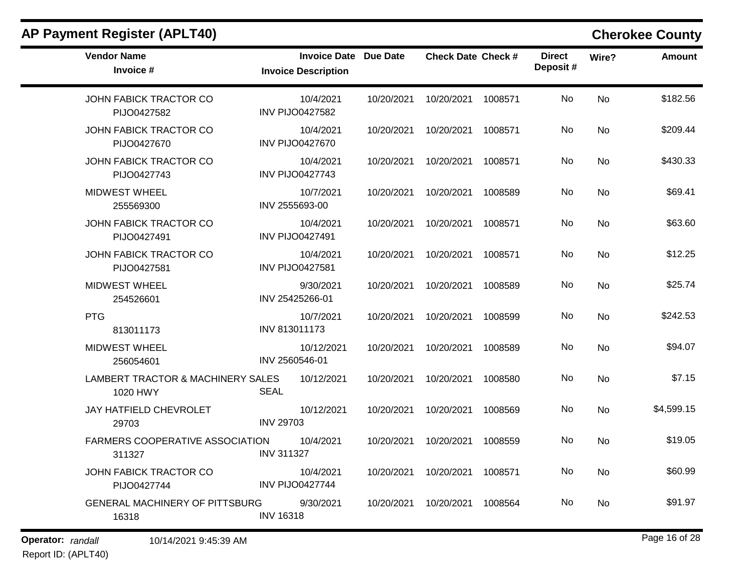| <b>Vendor Name</b><br>Invoice #               | <b>Invoice Date</b> Due Date<br><b>Invoice Description</b> |            | Check Date Check # |         | <b>Direct</b><br>Deposit# | Wire?          | <b>Amount</b> |
|-----------------------------------------------|------------------------------------------------------------|------------|--------------------|---------|---------------------------|----------------|---------------|
| JOHN FABICK TRACTOR CO<br>PIJO0427582         | 10/4/2021<br><b>INV PIJO0427582</b>                        | 10/20/2021 | 10/20/2021 1008571 |         | No                        | <b>No</b>      | \$182.56      |
| <b>JOHN FABICK TRACTOR CO</b><br>PIJO0427670  | 10/4/2021<br><b>INV PIJO0427670</b>                        | 10/20/2021 | 10/20/2021 1008571 |         | No.                       | No             | \$209.44      |
| <b>JOHN FABICK TRACTOR CO</b><br>PIJO0427743  | 10/4/2021<br><b>INV PIJO0427743</b>                        | 10/20/2021 | 10/20/2021         | 1008571 | No.                       | N <sub>o</sub> | \$430.33      |
| <b>MIDWEST WHEEL</b><br>255569300             | 10/7/2021<br>INV 2555693-00                                | 10/20/2021 | 10/20/2021         | 1008589 | No                        | <b>No</b>      | \$69.41       |
| JOHN FABICK TRACTOR CO<br>PIJO0427491         | 10/4/2021<br><b>INV PIJO0427491</b>                        | 10/20/2021 | 10/20/2021 1008571 |         | No                        | <b>No</b>      | \$63.60       |
| JOHN FABICK TRACTOR CO<br>PIJO0427581         | 10/4/2021<br><b>INV PIJO0427581</b>                        | 10/20/2021 | 10/20/2021         | 1008571 | No                        | No             | \$12.25       |
| <b>MIDWEST WHEEL</b><br>254526601             | 9/30/2021<br>INV 25425266-01                               | 10/20/2021 | 10/20/2021         | 1008589 | No.                       | No             | \$25.74       |
| <b>PTG</b><br>813011173                       | 10/7/2021<br>INV 813011173                                 | 10/20/2021 | 10/20/2021         | 1008599 | No                        | No             | \$242.53      |
| <b>MIDWEST WHEEL</b><br>256054601             | 10/12/2021<br>INV 2560546-01                               | 10/20/2021 | 10/20/2021         | 1008589 | No                        | <b>No</b>      | \$94.07       |
| LAMBERT TRACTOR & MACHINERY SALES<br>1020 HWY | 10/12/2021<br>SEAL                                         | 10/20/2021 | 10/20/2021         | 1008580 | No.                       | No             | \$7.15        |
| JAY HATFIELD CHEVROLET<br>29703               | 10/12/2021<br><b>INV 29703</b>                             | 10/20/2021 | 10/20/2021         | 1008569 | No.                       | <b>No</b>      | \$4,599.15    |
| FARMERS COOPERATIVE ASSOCIATION<br>311327     | 10/4/2021<br><b>INV 311327</b>                             | 10/20/2021 | 10/20/2021         | 1008559 | No                        | <b>No</b>      | \$19.05       |
| JOHN FABICK TRACTOR CO<br>PIJO0427744         | 10/4/2021<br><b>INV PIJO0427744</b>                        | 10/20/2021 | 10/20/2021 1008571 |         | No.                       | No             | \$60.99       |
| GENERAL MACHINERY OF PITTSBURG<br>16318       | 9/30/2021<br><b>INV 16318</b>                              | 10/20/2021 | 10/20/2021         | 1008564 | No.                       | No             | \$91.97       |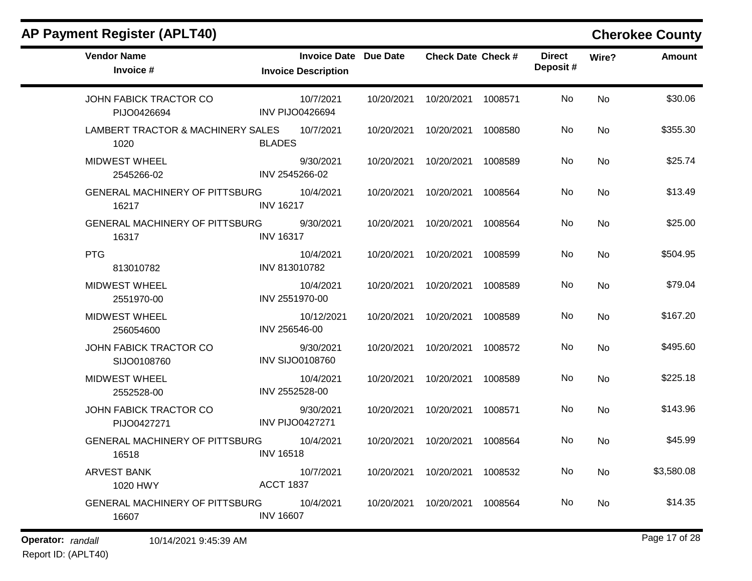| <b>Vendor Name</b><br>Invoice #                | Invoice Date Due Date<br><b>Invoice Description</b> |            | <b>Check Date Check #</b> |         | <b>Direct</b><br>Deposit# | Wire?     | <b>Amount</b> |
|------------------------------------------------|-----------------------------------------------------|------------|---------------------------|---------|---------------------------|-----------|---------------|
| JOHN FABICK TRACTOR CO<br>PIJO0426694          | 10/7/2021<br><b>INV PIJO0426694</b>                 | 10/20/2021 | 10/20/2021                | 1008571 | <b>No</b>                 | <b>No</b> | \$30.06       |
| LAMBERT TRACTOR & MACHINERY SALES<br>1020      | 10/7/2021<br><b>BLADES</b>                          | 10/20/2021 | 10/20/2021                | 1008580 | No.                       | No        | \$355.30      |
| <b>MIDWEST WHEEL</b><br>2545266-02             | 9/30/2021<br>INV 2545266-02                         | 10/20/2021 | 10/20/2021                | 1008589 | No                        | No        | \$25.74       |
| <b>GENERAL MACHINERY OF PITTSBURG</b><br>16217 | 10/4/2021<br><b>INV 16217</b>                       | 10/20/2021 | 10/20/2021                | 1008564 | No                        | <b>No</b> | \$13.49       |
| <b>GENERAL MACHINERY OF PITTSBURG</b><br>16317 | 9/30/2021<br><b>INV 16317</b>                       | 10/20/2021 | 10/20/2021                | 1008564 | No.                       | <b>No</b> | \$25.00       |
| <b>PTG</b><br>813010782                        | 10/4/2021<br>INV 813010782                          | 10/20/2021 | 10/20/2021                | 1008599 | No.                       | No        | \$504.95      |
| <b>MIDWEST WHEEL</b><br>2551970-00             | 10/4/2021<br>INV 2551970-00                         | 10/20/2021 | 10/20/2021                | 1008589 | No                        | <b>No</b> | \$79.04       |
| <b>MIDWEST WHEEL</b><br>256054600              | 10/12/2021<br>INV 256546-00                         | 10/20/2021 | 10/20/2021                | 1008589 | No                        | <b>No</b> | \$167.20      |
| JOHN FABICK TRACTOR CO<br>SIJO0108760          | 9/30/2021<br><b>INV SIJO0108760</b>                 | 10/20/2021 | 10/20/2021                | 1008572 | No.                       | No        | \$495.60      |
| <b>MIDWEST WHEEL</b><br>2552528-00             | 10/4/2021<br>INV 2552528-00                         | 10/20/2021 | 10/20/2021                | 1008589 | No                        | No        | \$225.18      |
| JOHN FABICK TRACTOR CO<br>PIJO0427271          | 9/30/2021<br><b>INV PIJO0427271</b>                 | 10/20/2021 | 10/20/2021                | 1008571 | No                        | <b>No</b> | \$143.96      |
| <b>GENERAL MACHINERY OF PITTSBURG</b><br>16518 | 10/4/2021<br><b>INV 16518</b>                       | 10/20/2021 | 10/20/2021                | 1008564 | No.                       | <b>No</b> | \$45.99       |
| ARVEST BANK<br>1020 HWY                        | 10/7/2021<br><b>ACCT 1837</b>                       | 10/20/2021 | 10/20/2021                | 1008532 | No.                       | No        | \$3,580.08    |
| GENERAL MACHINERY OF PITTSBURG<br>16607        | 10/4/2021<br><b>INV 16607</b>                       | 10/20/2021 | 10/20/2021                | 1008564 | No                        | No        | \$14.35       |

**Operator:** randall 10/14/2021 9:45:39 AM *Page 17 of 28 Page 17 of 28*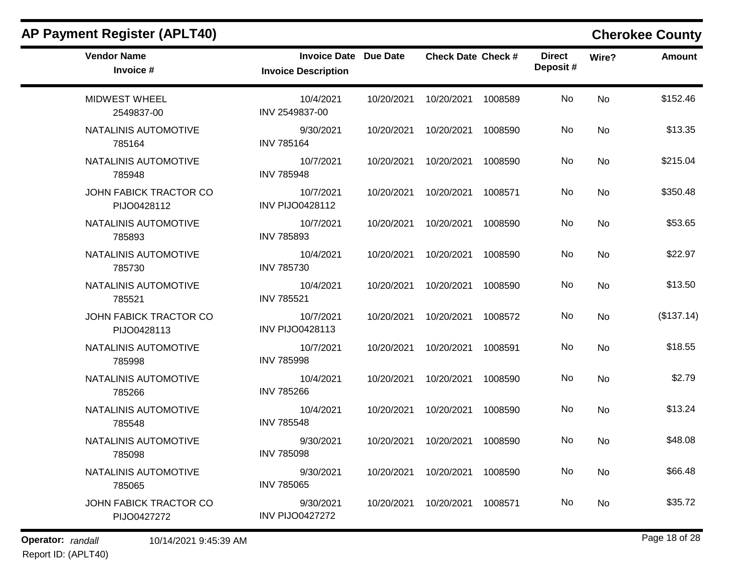| <b>Vendor Name</b><br>Invoice #       | <b>Invoice Date Due Date</b><br><b>Invoice Description</b> |            | <b>Check Date Check #</b> |         | <b>Direct</b><br>Deposit# | Wire?     | <b>Amount</b> |
|---------------------------------------|------------------------------------------------------------|------------|---------------------------|---------|---------------------------|-----------|---------------|
| <b>MIDWEST WHEEL</b><br>2549837-00    | 10/4/2021<br>INV 2549837-00                                | 10/20/2021 | 10/20/2021                | 1008589 | No                        | <b>No</b> | \$152.46      |
| NATALINIS AUTOMOTIVE<br>785164        | 9/30/2021<br><b>INV 785164</b>                             |            | 10/20/2021 10/20/2021     | 1008590 | No                        | <b>No</b> | \$13.35       |
| NATALINIS AUTOMOTIVE<br>785948        | 10/7/2021<br><b>INV 785948</b>                             | 10/20/2021 | 10/20/2021                | 1008590 | No                        | No        | \$215.04      |
| JOHN FABICK TRACTOR CO<br>PIJO0428112 | 10/7/2021<br><b>INV PIJO0428112</b>                        | 10/20/2021 | 10/20/2021                | 1008571 | No                        | <b>No</b> | \$350.48      |
| NATALINIS AUTOMOTIVE<br>785893        | 10/7/2021<br><b>INV 785893</b>                             | 10/20/2021 | 10/20/2021                | 1008590 | No                        | <b>No</b> | \$53.65       |
| NATALINIS AUTOMOTIVE<br>785730        | 10/4/2021<br><b>INV 785730</b>                             | 10/20/2021 | 10/20/2021                | 1008590 | No                        | <b>No</b> | \$22.97       |
| NATALINIS AUTOMOTIVE<br>785521        | 10/4/2021<br><b>INV 785521</b>                             | 10/20/2021 | 10/20/2021                | 1008590 | No                        | <b>No</b> | \$13.50       |
| JOHN FABICK TRACTOR CO<br>PIJO0428113 | 10/7/2021<br><b>INV PIJO0428113</b>                        | 10/20/2021 | 10/20/2021                | 1008572 | No                        | No        | (\$137.14)    |
| NATALINIS AUTOMOTIVE<br>785998        | 10/7/2021<br><b>INV 785998</b>                             | 10/20/2021 | 10/20/2021                | 1008591 | No                        | <b>No</b> | \$18.55       |
| NATALINIS AUTOMOTIVE<br>785266        | 10/4/2021<br><b>INV 785266</b>                             | 10/20/2021 | 10/20/2021                | 1008590 | No                        | <b>No</b> | \$2.79        |
| NATALINIS AUTOMOTIVE<br>785548        | 10/4/2021<br><b>INV 785548</b>                             | 10/20/2021 | 10/20/2021                | 1008590 | No                        | <b>No</b> | \$13.24       |
| NATALINIS AUTOMOTIVE<br>785098        | 9/30/2021<br><b>INV 785098</b>                             | 10/20/2021 | 10/20/2021                | 1008590 | No                        | <b>No</b> | \$48.08       |
| NATALINIS AUTOMOTIVE<br>785065        | 9/30/2021<br><b>INV 785065</b>                             | 10/20/2021 | 10/20/2021                | 1008590 | No                        | <b>No</b> | \$66.48       |
| JOHN FABICK TRACTOR CO<br>PIJO0427272 | 9/30/2021<br><b>INV PIJO0427272</b>                        | 10/20/2021 | 10/20/2021                | 1008571 | No                        | No        | \$35.72       |

**Operator:** randall 10/14/2021 9:45:39 AM *Page 18 of 28 Page 18 of 28* Report ID: (APLT40)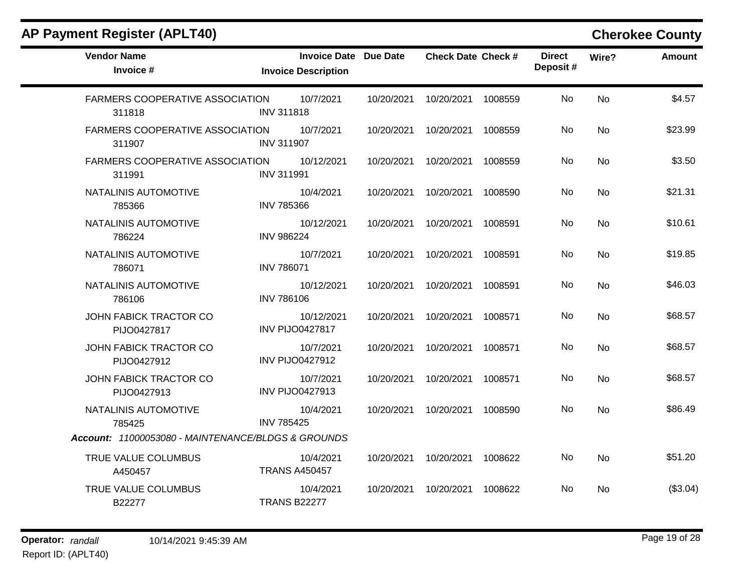| <b>Vendor Name</b><br>Invoice #                    | Invoice Date Due Date<br><b>Invoice Description</b> |            | <b>Check Date Check #</b> |         | <b>Direct</b><br>Deposit# | Wire?     | <b>Amount</b> |
|----------------------------------------------------|-----------------------------------------------------|------------|---------------------------|---------|---------------------------|-----------|---------------|
| FARMERS COOPERATIVE ASSOCIATION<br>311818          | 10/7/2021<br><b>INV 311818</b>                      | 10/20/2021 | 10/20/2021                | 1008559 | No                        | No        | \$4.57        |
| <b>FARMERS COOPERATIVE ASSOCIATION</b><br>311907   | 10/7/2021<br><b>INV 311907</b>                      | 10/20/2021 | 10/20/2021                | 1008559 | No                        | <b>No</b> | \$23.99       |
| FARMERS COOPERATIVE ASSOCIATION<br>311991          | 10/12/2021<br><b>INV 311991</b>                     | 10/20/2021 | 10/20/2021                | 1008559 | No                        | <b>No</b> | \$3.50        |
| NATALINIS AUTOMOTIVE<br>785366                     | 10/4/2021<br><b>INV 785366</b>                      | 10/20/2021 | 10/20/2021                | 1008590 | No.                       | <b>No</b> | \$21.31       |
| NATALINIS AUTOMOTIVE<br>786224                     | 10/12/2021<br><b>INV 986224</b>                     | 10/20/2021 | 10/20/2021                | 1008591 | No                        | No        | \$10.61       |
| NATALINIS AUTOMOTIVE<br>786071                     | 10/7/2021<br><b>INV 786071</b>                      | 10/20/2021 | 10/20/2021                | 1008591 | No                        | <b>No</b> | \$19.85       |
| NATALINIS AUTOMOTIVE<br>786106                     | 10/12/2021<br><b>INV 786106</b>                     | 10/20/2021 | 10/20/2021                | 1008591 | No                        | <b>No</b> | \$46.03       |
| JOHN FABICK TRACTOR CO<br>PIJO0427817              | 10/12/2021<br><b>INV PIJO0427817</b>                | 10/20/2021 | 10/20/2021                | 1008571 | No                        | <b>No</b> | \$68.57       |
| JOHN FABICK TRACTOR CO<br>PIJO0427912              | 10/7/2021<br><b>INV PIJO0427912</b>                 | 10/20/2021 | 10/20/2021                | 1008571 | No                        | <b>No</b> | \$68.57       |
| JOHN FABICK TRACTOR CO<br>PIJO0427913              | 10/7/2021<br><b>INV PIJO0427913</b>                 | 10/20/2021 | 10/20/2021                | 1008571 | No.                       | <b>No</b> | \$68.57       |
| NATALINIS AUTOMOTIVE<br>785425                     | 10/4/2021<br><b>INV 785425</b>                      | 10/20/2021 | 10/20/2021                | 1008590 | No                        | <b>No</b> | \$86.49       |
| Account: 11000053080 - MAINTENANCE/BLDGS & GROUNDS |                                                     |            |                           |         |                           |           |               |
| TRUE VALUE COLUMBUS<br>A450457                     | 10/4/2021<br><b>TRANS A450457</b>                   | 10/20/2021 | 10/20/2021                | 1008622 | No                        | <b>No</b> | \$51.20       |
| TRUE VALUE COLUMBUS<br>B22277                      | 10/4/2021<br><b>TRANS B22277</b>                    | 10/20/2021 | 10/20/2021                | 1008622 | No                        | No        | (\$3.04)      |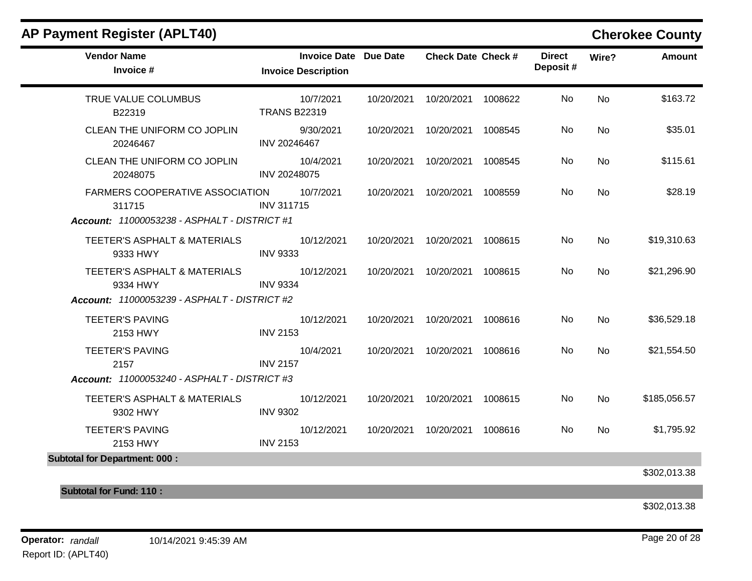| <b>Vendor Name</b><br>Invoice #                     | Invoice Date Due Date<br><b>Invoice Description</b> | <b>Check Date Check #</b>       | <b>Direct</b><br>Deposit# | Wire?     | Amount       |
|-----------------------------------------------------|-----------------------------------------------------|---------------------------------|---------------------------|-----------|--------------|
| TRUE VALUE COLUMBUS<br>B22319                       | 10/7/2021<br><b>TRANS B22319</b>                    | 10/20/2021  10/20/2021  1008622 | No                        | <b>No</b> | \$163.72     |
| CLEAN THE UNIFORM CO JOPLIN<br>20246467             | 9/30/2021<br>INV 20246467                           | 10/20/2021  10/20/2021  1008545 | No                        | <b>No</b> | \$35.01      |
| CLEAN THE UNIFORM CO JOPLIN<br>20248075             | 10/4/2021<br>INV 20248075                           | 10/20/2021  10/20/2021  1008545 | No.                       | No        | \$115.61     |
| FARMERS COOPERATIVE ASSOCIATION 10/7/2021<br>311715 | <b>INV 311715</b>                                   | 10/20/2021  10/20/2021  1008559 | No                        | <b>No</b> | \$28.19      |
| <b>Account: 11000053238 - ASPHALT - DISTRICT #1</b> |                                                     |                                 |                           |           |              |
| TEETER'S ASPHALT & MATERIALS<br>9333 HWY            | 10/12/2021<br><b>INV 9333</b>                       | 10/20/2021  10/20/2021  1008615 | No.                       | No        | \$19,310.63  |
| TEETER'S ASPHALT & MATERIALS<br>9334 HWY            | 10/12/2021<br><b>INV 9334</b>                       | 10/20/2021  10/20/2021  1008615 | No                        | <b>No</b> | \$21,296.90  |
| <b>Account: 11000053239 - ASPHALT - DISTRICT #2</b> |                                                     |                                 |                           |           |              |
| <b>TEETER'S PAVING</b><br>2153 HWY                  | 10/12/2021<br><b>INV 2153</b>                       | 10/20/2021  10/20/2021  1008616 | No.                       | <b>No</b> | \$36,529.18  |
| <b>TEETER'S PAVING</b><br>2157                      | 10/4/2021<br><b>INV 2157</b>                        | 10/20/2021  10/20/2021  1008616 | No                        | <b>No</b> | \$21,554.50  |
| <b>Account: 11000053240 - ASPHALT - DISTRICT #3</b> |                                                     |                                 |                           |           |              |
| TEETER'S ASPHALT & MATERIALS<br>9302 HWY            | 10/12/2021<br><b>INV 9302</b>                       | 10/20/2021  10/20/2021  1008615 | No.                       | <b>No</b> | \$185,056.57 |
| <b>TEETER'S PAVING</b><br>2153 HWY                  | 10/12/2021<br><b>INV 2153</b>                       | 10/20/2021  10/20/2021  1008616 | No.                       | <b>No</b> | \$1,795.92   |
| <b>Subtotal for Department: 000:</b>                |                                                     |                                 |                           |           |              |
|                                                     |                                                     |                                 |                           |           | \$302,013.38 |
| <b>Subtotal for Fund: 110:</b>                      |                                                     |                                 |                           |           |              |

\$302,013.38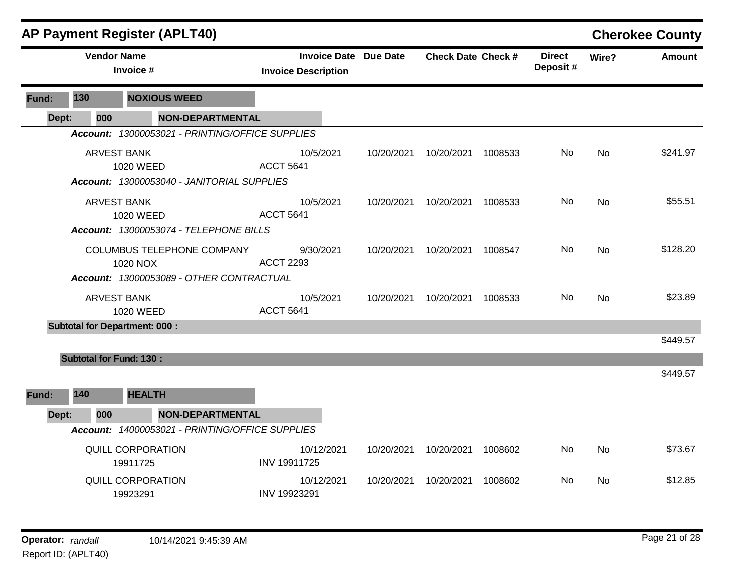|       |                                | <b>AP Payment Register (APLT40)</b>                                                                                     |                                                            |            |                           |         |                           |           | <b>Cherokee County</b> |
|-------|--------------------------------|-------------------------------------------------------------------------------------------------------------------------|------------------------------------------------------------|------------|---------------------------|---------|---------------------------|-----------|------------------------|
|       |                                | <b>Vendor Name</b><br>Invoice #                                                                                         | <b>Invoice Date Due Date</b><br><b>Invoice Description</b> |            | <b>Check Date Check #</b> |         | <b>Direct</b><br>Deposit# | Wire?     | <b>Amount</b>          |
| Fund: | 130                            | <b>NOXIOUS WEED</b>                                                                                                     |                                                            |            |                           |         |                           |           |                        |
| Dept: | 000                            | <b>NON-DEPARTMENTAL</b>                                                                                                 |                                                            |            |                           |         |                           |           |                        |
|       |                                | Account: 13000053021 - PRINTING/OFFICE SUPPLIES                                                                         |                                                            |            |                           |         |                           |           |                        |
|       |                                | <b>ARVEST BANK</b><br>1020 WEED                                                                                         | 10/5/2021<br><b>ACCT 5641</b>                              | 10/20/2021 | 10/20/2021                | 1008533 | No.                       | <b>No</b> | \$241.97               |
|       |                                | Account: 13000053040 - JANITORIAL SUPPLIES<br><b>ARVEST BANK</b><br>1020 WEED<br>Account: 13000053074 - TELEPHONE BILLS | 10/5/2021<br><b>ACCT 5641</b>                              | 10/20/2021 | 10/20/2021                | 1008533 | No.                       | <b>No</b> | \$55.51                |
|       |                                | COLUMBUS TELEPHONE COMPANY<br>1020 NOX<br>Account: 13000053089 - OTHER CONTRACTUAL                                      | 9/30/2021<br><b>ACCT 2293</b>                              | 10/20/2021 | 10/20/2021                | 1008547 | No.                       | <b>No</b> | \$128.20               |
|       |                                | <b>ARVEST BANK</b><br>1020 WEED                                                                                         | 10/5/2021<br><b>ACCT 5641</b>                              | 10/20/2021 | 10/20/2021                | 1008533 | No.                       | No        | \$23.89                |
|       |                                | <b>Subtotal for Department: 000:</b>                                                                                    |                                                            |            |                           |         |                           |           |                        |
|       |                                |                                                                                                                         |                                                            |            |                           |         |                           |           | \$449.57               |
|       | <b>Subtotal for Fund: 130:</b> |                                                                                                                         |                                                            |            |                           |         |                           |           | \$449.57               |
| Fund: | 140                            | <b>HEALTH</b>                                                                                                           |                                                            |            |                           |         |                           |           |                        |
| Dept: | 000                            | <b>NON-DEPARTMENTAL</b><br>Account: 14000053021 - PRINTING/OFFICE SUPPLIES                                              |                                                            |            |                           |         |                           |           |                        |
|       |                                | <b>QUILL CORPORATION</b><br>19911725                                                                                    | 10/12/2021<br>INV 19911725                                 | 10/20/2021 | 10/20/2021                | 1008602 | No.                       | <b>No</b> | \$73.67                |
|       |                                | QUILL CORPORATION<br>19923291                                                                                           | 10/12/2021<br>INV 19923291                                 | 10/20/2021 | 10/20/2021                | 1008602 | No                        | No        | \$12.85                |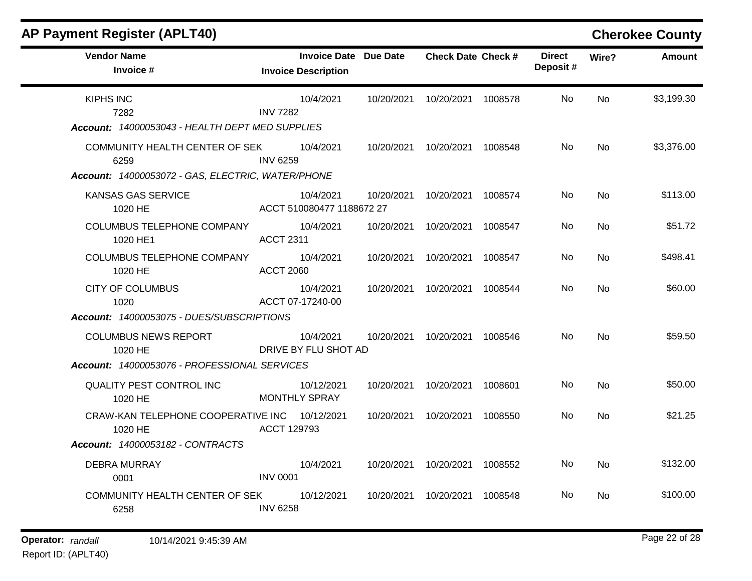| <b>AP Payment Register (APLT40)</b>                                                         |                                                            |            |                           |         |                           |           | <b>Cherokee County</b> |
|---------------------------------------------------------------------------------------------|------------------------------------------------------------|------------|---------------------------|---------|---------------------------|-----------|------------------------|
| <b>Vendor Name</b><br>Invoice #                                                             | <b>Invoice Date Due Date</b><br><b>Invoice Description</b> |            | <b>Check Date Check #</b> |         | <b>Direct</b><br>Deposit# | Wire?     | <b>Amount</b>          |
| <b>KIPHS INC</b><br>7282<br>Account: 14000053043 - HEALTH DEPT MED SUPPLIES                 | 10/4/2021<br><b>INV 7282</b>                               | 10/20/2021 | 10/20/2021 1008578        |         | No                        | <b>No</b> | \$3,199.30             |
| COMMUNITY HEALTH CENTER OF SEK<br>6259<br>Account: 14000053072 - GAS, ELECTRIC, WATER/PHONE | 10/4/2021<br><b>INV 6259</b>                               | 10/20/2021 | 10/20/2021 1008548        |         | No                        | No        | \$3,376.00             |
| KANSAS GAS SERVICE<br>1020 HE                                                               | 10/4/2021<br>ACCT 510080477 1188672 27                     | 10/20/2021 | 10/20/2021 1008574        |         | No                        | <b>No</b> | \$113.00               |
| <b>COLUMBUS TELEPHONE COMPANY</b><br>1020 HE1                                               | 10/4/2021<br><b>ACCT 2311</b>                              | 10/20/2021 | 10/20/2021                | 1008547 | No                        | No        | \$51.72                |
| <b>COLUMBUS TELEPHONE COMPANY</b><br>1020 HE                                                | 10/4/2021<br><b>ACCT 2060</b>                              | 10/20/2021 | 10/20/2021                | 1008547 | No                        | No        | \$498.41               |
| <b>CITY OF COLUMBUS</b><br>1020<br>Account: 14000053075 - DUES/SUBSCRIPTIONS                | 10/4/2021<br>ACCT 07-17240-00                              | 10/20/2021 | 10/20/2021                | 1008544 | No                        | No        | \$60.00                |
| <b>COLUMBUS NEWS REPORT</b><br>1020 HE                                                      | 10/4/2021<br>DRIVE BY FLU SHOT AD                          | 10/20/2021 | 10/20/2021 1008546        |         | No                        | No.       | \$59.50                |
| Account: 14000053076 - PROFESSIONAL SERVICES<br>QUALITY PEST CONTROL INC<br>1020 HE         | 10/12/2021<br><b>MONTHLY SPRAY</b>                         | 10/20/2021 | 10/20/2021                | 1008601 | No                        | No        | \$50.00                |
| CRAW-KAN TELEPHONE COOPERATIVE INC<br>1020 HE                                               | 10/12/2021<br>ACCT 129793                                  | 10/20/2021 | 10/20/2021                | 1008550 | No                        | <b>No</b> | \$21.25                |
| Account: 14000053182 - CONTRACTS                                                            |                                                            |            |                           |         |                           |           |                        |
| <b>DEBRA MURRAY</b><br>0001                                                                 | 10/4/2021<br><b>INV 0001</b>                               | 10/20/2021 | 10/20/2021                | 1008552 | No                        | No        | \$132.00               |
| COMMUNITY HEALTH CENTER OF SEK<br>6258                                                      | 10/12/2021<br><b>INV 6258</b>                              | 10/20/2021 | 10/20/2021                | 1008548 | No                        | No        | \$100.00               |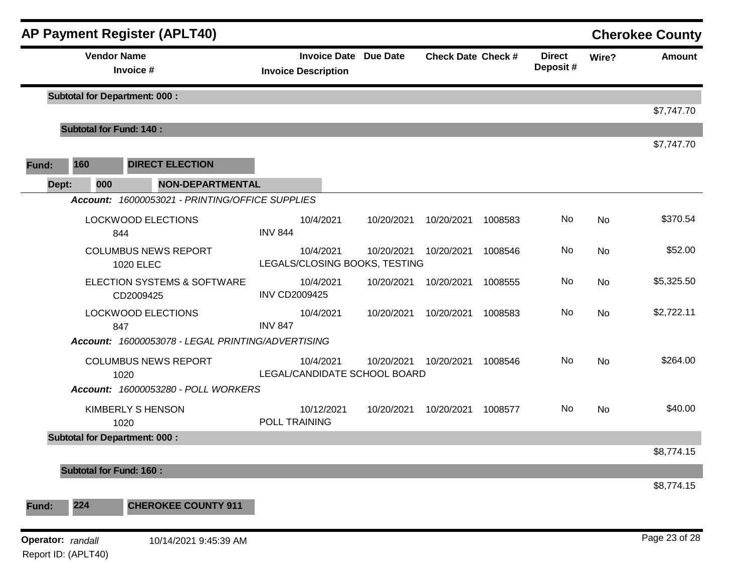|       |                                          | <b>AP Payment Register (APLT40)</b>               |                      |                                                            |            |                           |         |                           |           | <b>Cherokee County</b> |
|-------|------------------------------------------|---------------------------------------------------|----------------------|------------------------------------------------------------|------------|---------------------------|---------|---------------------------|-----------|------------------------|
|       |                                          | <b>Vendor Name</b><br>Invoice #                   |                      | <b>Invoice Date Due Date</b><br><b>Invoice Description</b> |            | <b>Check Date Check #</b> |         | <b>Direct</b><br>Deposit# | Wire?     | <b>Amount</b>          |
|       |                                          | <b>Subtotal for Department: 000:</b>              |                      |                                                            |            |                           |         |                           |           |                        |
|       |                                          | <b>Subtotal for Fund: 140:</b>                    |                      |                                                            |            |                           |         |                           |           | \$7,747.70             |
|       |                                          |                                                   |                      |                                                            |            |                           |         |                           |           | \$7,747.70             |
| Fund: | 160                                      | <b>DIRECT ELECTION</b>                            |                      |                                                            |            |                           |         |                           |           |                        |
| Dept: |                                          | <b>NON-DEPARTMENTAL</b><br>000                    |                      |                                                            |            |                           |         |                           |           |                        |
|       |                                          | Account: 16000053021 - PRINTING/OFFICE SUPPLIES   |                      |                                                            |            |                           |         |                           |           |                        |
|       |                                          | <b>LOCKWOOD ELECTIONS</b><br>844                  | <b>INV 844</b>       | 10/4/2021                                                  | 10/20/2021 | 10/20/2021                | 1008583 | No                        | <b>No</b> | \$370.54               |
|       |                                          | <b>COLUMBUS NEWS REPORT</b><br><b>1020 ELEC</b>   |                      | 10/4/2021<br>LEGALS/CLOSING BOOKS, TESTING                 | 10/20/2021 | 10/20/2021                | 1008546 | No                        | No        | \$52.00                |
|       |                                          | ELECTION SYSTEMS & SOFTWARE<br>CD2009425          | <b>INV CD2009425</b> | 10/4/2021                                                  | 10/20/2021 | 10/20/2021                | 1008555 | No                        | <b>No</b> | \$5,325.50             |
|       |                                          | <b>LOCKWOOD ELECTIONS</b><br>847                  | <b>INV 847</b>       | 10/4/2021                                                  | 10/20/2021 | 10/20/2021                | 1008583 | No                        | <b>No</b> | \$2,722.11             |
|       |                                          | Account: 16000053078 - LEGAL PRINTING/ADVERTISING |                      |                                                            |            |                           |         |                           |           |                        |
|       |                                          | <b>COLUMBUS NEWS REPORT</b><br>1020               |                      | 10/4/2021<br>LEGAL/CANDIDATE SCHOOL BOARD                  | 10/20/2021 | 10/20/2021                | 1008546 | No                        | <b>No</b> | \$264.00               |
|       |                                          | Account: 16000053280 - POLL WORKERS               |                      |                                                            |            |                           |         |                           |           |                        |
|       |                                          | KIMBERLY S HENSON<br>1020                         | POLL TRAINING        | 10/12/2021                                                 | 10/20/2021 | 10/20/2021                | 1008577 | No                        | <b>No</b> | \$40.00                |
|       |                                          | <b>Subtotal for Department: 000:</b>              |                      |                                                            |            |                           |         |                           |           |                        |
|       |                                          | <b>Subtotal for Fund: 160:</b>                    |                      |                                                            |            |                           |         |                           |           | \$8,774.15             |
|       |                                          |                                                   |                      |                                                            |            |                           |         |                           |           | \$8,774.15             |
| Fund: | 224                                      | <b>CHEROKEE COUNTY 911</b>                        |                      |                                                            |            |                           |         |                           |           |                        |
|       | Operator: randall<br>Report ID: (APLT40) | 10/14/2021 9:45:39 AM                             |                      |                                                            |            |                           |         |                           |           | Page 23 of 28          |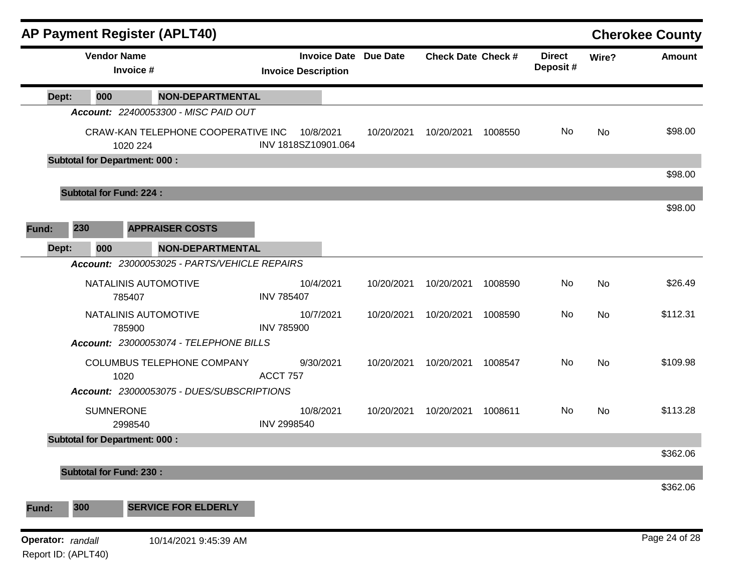|                   |                                | <b>AP Payment Register (APLT40)</b>            |                   |                                                   |                 |                           |         |                           |       | <b>Cherokee County</b> |
|-------------------|--------------------------------|------------------------------------------------|-------------------|---------------------------------------------------|-----------------|---------------------------|---------|---------------------------|-------|------------------------|
|                   |                                | <b>Vendor Name</b><br>Invoice #                |                   | <b>Invoice Date</b><br><b>Invoice Description</b> | <b>Due Date</b> | <b>Check Date Check #</b> |         | <b>Direct</b><br>Deposit# | Wire? | <b>Amount</b>          |
| Dept:             | 000                            | <b>NON-DEPARTMENTAL</b>                        |                   |                                                   |                 |                           |         |                           |       |                        |
|                   |                                | Account: 22400053300 - MISC PAID OUT           |                   |                                                   |                 |                           |         |                           |       |                        |
|                   |                                | CRAW-KAN TELEPHONE COOPERATIVE INC<br>1020 224 |                   | 10/8/2021<br>INV 1818SZ10901.064                  | 10/20/2021      | 10/20/2021                | 1008550 | No                        | No    | \$98.00                |
|                   |                                | <b>Subtotal for Department: 000:</b>           |                   |                                                   |                 |                           |         |                           |       |                        |
|                   |                                |                                                |                   |                                                   |                 |                           |         |                           |       | \$98.00                |
|                   | <b>Subtotal for Fund: 224:</b> |                                                |                   |                                                   |                 |                           |         |                           |       | \$98.00                |
| Fund:             | 230                            | <b>APPRAISER COSTS</b>                         |                   |                                                   |                 |                           |         |                           |       |                        |
|                   | 000                            | <b>NON-DEPARTMENTAL</b>                        |                   |                                                   |                 |                           |         |                           |       |                        |
| Dept:             |                                | Account: 23000053025 - PARTS/VEHICLE REPAIRS   |                   |                                                   |                 |                           |         |                           |       |                        |
|                   |                                | NATALINIS AUTOMOTIVE                           |                   | 10/4/2021                                         | 10/20/2021      | 10/20/2021                | 1008590 | No                        | No    | \$26.49                |
|                   |                                | 785407                                         | <b>INV 785407</b> |                                                   |                 |                           |         |                           |       |                        |
|                   |                                | NATALINIS AUTOMOTIVE                           |                   | 10/7/2021                                         | 10/20/2021      | 10/20/2021                | 1008590 | No                        | No    | \$112.31               |
|                   |                                | 785900                                         | <b>INV 785900</b> |                                                   |                 |                           |         |                           |       |                        |
|                   |                                | Account: 23000053074 - TELEPHONE BILLS         |                   |                                                   |                 |                           |         |                           |       |                        |
|                   |                                | COLUMBUS TELEPHONE COMPANY<br>1020             | ACCT 757          | 9/30/2021                                         | 10/20/2021      | 10/20/2021                | 1008547 | No                        | No    | \$109.98               |
|                   |                                | Account: 23000053075 - DUES/SUBSCRIPTIONS      |                   |                                                   |                 |                           |         |                           |       |                        |
|                   |                                | <b>SUMNERONE</b>                               |                   | 10/8/2021                                         | 10/20/2021      | 10/20/2021                | 1008611 | No                        | No    | \$113.28               |
|                   |                                | 2998540                                        | INV 2998540       |                                                   |                 |                           |         |                           |       |                        |
|                   |                                | <b>Subtotal for Department: 000:</b>           |                   |                                                   |                 |                           |         |                           |       |                        |
|                   |                                |                                                |                   |                                                   |                 |                           |         |                           |       | \$362.06               |
|                   | <b>Subtotal for Fund: 230:</b> |                                                |                   |                                                   |                 |                           |         |                           |       | \$362.06               |
|                   |                                | <b>SERVICE FOR ELDERLY</b>                     |                   |                                                   |                 |                           |         |                           |       |                        |
| Fund:             | 300                            |                                                |                   |                                                   |                 |                           |         |                           |       |                        |
| Operator: randall | Report ID: (APLT40)            | 10/14/2021 9:45:39 AM                          |                   |                                                   |                 |                           |         |                           |       | Page 24 of 28          |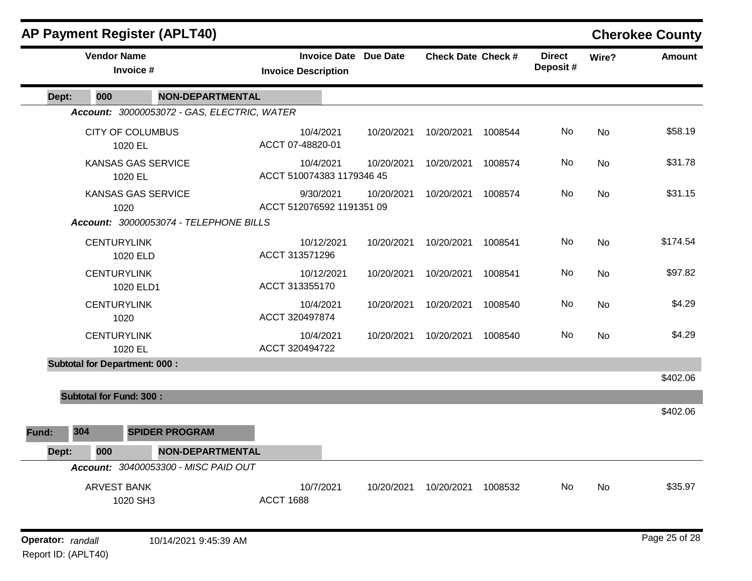|                   |                                      | <b>AP Payment Register (APLT40)</b>                                 |                                                            |            |                           |         |                           |           | <b>Cherokee County</b> |
|-------------------|--------------------------------------|---------------------------------------------------------------------|------------------------------------------------------------|------------|---------------------------|---------|---------------------------|-----------|------------------------|
|                   | <b>Vendor Name</b>                   | Invoice #                                                           | <b>Invoice Date Due Date</b><br><b>Invoice Description</b> |            | <b>Check Date Check #</b> |         | <b>Direct</b><br>Deposit# | Wire?     | <b>Amount</b>          |
| Dept:             | 000                                  | <b>NON-DEPARTMENTAL</b>                                             |                                                            |            |                           |         |                           |           |                        |
|                   |                                      | Account: 30000053072 - GAS, ELECTRIC, WATER                         |                                                            |            |                           |         |                           |           |                        |
|                   | <b>CITY OF COLUMBUS</b><br>1020 EL   |                                                                     | 10/4/2021<br>ACCT 07-48820-01                              | 10/20/2021 | 10/20/2021                | 1008544 | No                        | No        | \$58.19                |
|                   | 1020 EL                              | <b>KANSAS GAS SERVICE</b>                                           | 10/4/2021<br>ACCT 510074383 1179346 45                     | 10/20/2021 | 10/20/2021                | 1008574 | No                        | No        | \$31.78                |
|                   | 1020                                 | <b>KANSAS GAS SERVICE</b><br>Account: 30000053074 - TELEPHONE BILLS | 9/30/2021<br>ACCT 512076592 1191351 09                     | 10/20/2021 | 10/20/2021                | 1008574 | No                        | No        | \$31.15                |
|                   | <b>CENTURYLINK</b>                   | 1020 ELD                                                            | 10/12/2021<br>ACCT 313571296                               | 10/20/2021 | 10/20/2021                | 1008541 | No                        | <b>No</b> | \$174.54               |
|                   | <b>CENTURYLINK</b>                   | 1020 ELD1                                                           | 10/12/2021<br>ACCT 313355170                               | 10/20/2021 | 10/20/2021                | 1008541 | No                        | No        | \$97.82                |
|                   | <b>CENTURYLINK</b><br>1020           |                                                                     | 10/4/2021<br>ACCT 320497874                                | 10/20/2021 | 10/20/2021                | 1008540 | No                        | No        | \$4.29                 |
|                   | <b>CENTURYLINK</b><br>1020 EL        |                                                                     | 10/4/2021<br>ACCT 320494722                                | 10/20/2021 | 10/20/2021                | 1008540 | No                        | No        | \$4.29                 |
|                   | <b>Subtotal for Department: 000:</b> |                                                                     |                                                            |            |                           |         |                           |           |                        |
|                   |                                      |                                                                     |                                                            |            |                           |         |                           |           | \$402.06               |
|                   | <b>Subtotal for Fund: 300:</b>       |                                                                     |                                                            |            |                           |         |                           |           | \$402.06               |
| Fund:             | 304                                  | <b>SPIDER PROGRAM</b>                                               |                                                            |            |                           |         |                           |           |                        |
| Dept:             | 000                                  | <b>NON-DEPARTMENTAL</b>                                             |                                                            |            |                           |         |                           |           |                        |
|                   |                                      | Account: 30400053300 - MISC PAID OUT                                |                                                            |            |                           |         |                           |           |                        |
|                   | <b>ARVEST BANK</b>                   | 1020 SH3                                                            | 10/7/2021<br><b>ACCT 1688</b>                              | 10/20/2021 | 10/20/2021                | 1008532 | No                        | No        | \$35.97                |
| Operator: randall |                                      | 10/14/2021 9:45:39 AM                                               |                                                            |            |                           |         |                           |           | Page 25 of 28          |

Report ID: (APLT40)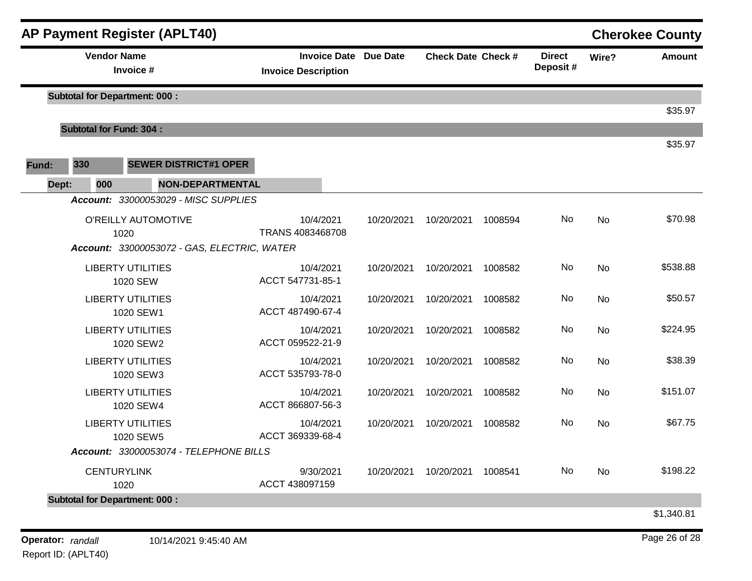|                          |                                | <b>AP Payment Register (APLT40)</b>                 |                                                            |            |                           |         |                           |           | <b>Cherokee County</b> |
|--------------------------|--------------------------------|-----------------------------------------------------|------------------------------------------------------------|------------|---------------------------|---------|---------------------------|-----------|------------------------|
|                          | <b>Vendor Name</b>             | Invoice #                                           | <b>Invoice Date Due Date</b><br><b>Invoice Description</b> |            | <b>Check Date Check #</b> |         | <b>Direct</b><br>Deposit# | Wire?     | <b>Amount</b>          |
|                          |                                | <b>Subtotal for Department: 000:</b>                |                                                            |            |                           |         |                           |           |                        |
|                          | <b>Subtotal for Fund: 304:</b> |                                                     |                                                            |            |                           |         |                           |           | \$35.97                |
|                          |                                |                                                     |                                                            |            |                           |         |                           |           | \$35.97                |
| Fund:                    | 330                            | <b>SEWER DISTRICT#1 OPER</b>                        |                                                            |            |                           |         |                           |           |                        |
| Dept:                    | 000                            | <b>NON-DEPARTMENTAL</b>                             |                                                            |            |                           |         |                           |           |                        |
|                          |                                | Account: 33000053029 - MISC SUPPLIES                |                                                            |            |                           |         |                           |           |                        |
|                          |                                | O'REILLY AUTOMOTIVE                                 | 10/4/2021                                                  | 10/20/2021 | 10/20/2021                | 1008594 | No                        | <b>No</b> | \$70.98                |
|                          | 1020                           | Account: 33000053072 - GAS, ELECTRIC, WATER         | TRANS 4083468708                                           |            |                           |         |                           |           |                        |
| <b>LIBERTY UTILITIES</b> |                                | 10/4/2021                                           | 10/20/2021                                                 | 10/20/2021 | 1008582                   | No      | No                        | \$538.88  |                        |
|                          |                                | 1020 SEW                                            | ACCT 547731-85-1                                           |            |                           |         |                           |           |                        |
| <b>LIBERTY UTILITIES</b> |                                | 10/4/2021                                           | 10/20/2021                                                 | 10/20/2021 | 1008582                   | No      | No                        | \$50.57   |                        |
|                          |                                | 1020 SEW1                                           | ACCT 487490-67-4                                           |            |                           |         |                           |           |                        |
|                          |                                | <b>LIBERTY UTILITIES</b><br>1020 SEW2               | 10/4/2021<br>ACCT 059522-21-9                              | 10/20/2021 | 10/20/2021                | 1008582 | No                        | No        | \$224.95               |
|                          |                                | <b>LIBERTY UTILITIES</b>                            | 10/4/2021                                                  | 10/20/2021 | 10/20/2021                | 1008582 | No                        | <b>No</b> | \$38.39                |
|                          |                                | 1020 SEW3                                           | ACCT 535793-78-0                                           |            |                           |         |                           |           |                        |
|                          |                                | <b>LIBERTY UTILITIES</b>                            | 10/4/2021                                                  | 10/20/2021 | 10/20/2021                | 1008582 | No                        | No        | \$151.07               |
|                          |                                | 1020 SEW4                                           | ACCT 866807-56-3                                           |            |                           |         |                           |           |                        |
|                          |                                | <b>LIBERTY UTILITIES</b>                            | 10/4/2021<br>ACCT 369339-68-4                              | 10/20/2021 | 10/20/2021                | 1008582 | No                        | <b>No</b> | \$67.75                |
|                          |                                | 1020 SEW5<br>Account: 33000053074 - TELEPHONE BILLS |                                                            |            |                           |         |                           |           |                        |
|                          | <b>CENTURYLINK</b>             |                                                     | 9/30/2021                                                  | 10/20/2021 | 10/20/2021                | 1008541 | No                        | No        | \$198.22               |
|                          | 1020                           |                                                     | ACCT 438097159                                             |            |                           |         |                           |           |                        |
|                          |                                | <b>Subtotal for Department: 000:</b>                |                                                            |            |                           |         |                           |           |                        |
|                          |                                |                                                     |                                                            |            |                           |         |                           |           | \$1,340.81             |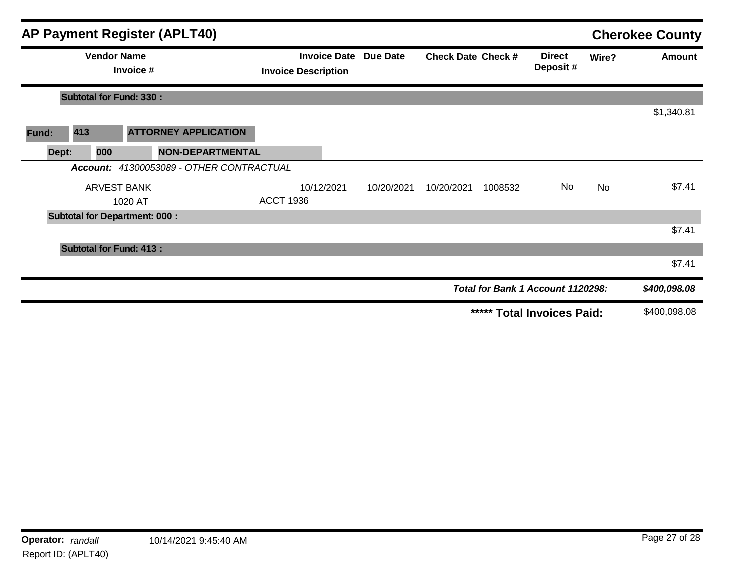|       |                                      |                    | <b>AP Payment Register (APLT40)</b>               |                  |                 |                           |            |                           |                                   |               | <b>Cherokee County</b> |
|-------|--------------------------------------|--------------------|---------------------------------------------------|------------------|-----------------|---------------------------|------------|---------------------------|-----------------------------------|---------------|------------------------|
|       | <b>Vendor Name</b><br>Invoice #      |                    | <b>Invoice Date</b><br><b>Invoice Description</b> |                  | <b>Due Date</b> | <b>Check Date Check #</b> |            | <b>Direct</b><br>Deposit# | Wire?                             | <b>Amount</b> |                        |
|       | <b>Subtotal for Fund: 330:</b>       |                    |                                                   |                  |                 |                           |            |                           |                                   |               |                        |
|       |                                      |                    |                                                   |                  |                 |                           |            |                           |                                   |               | \$1,340.81             |
| Fund: | 413                                  |                    | <b>ATTORNEY APPLICATION</b>                       |                  |                 |                           |            |                           |                                   |               |                        |
| Dept: | 000                                  |                    | <b>NON-DEPARTMENTAL</b>                           |                  |                 |                           |            |                           |                                   |               |                        |
|       |                                      |                    | Account: 41300053089 - OTHER CONTRACTUAL          |                  |                 |                           |            |                           |                                   |               |                        |
|       |                                      | <b>ARVEST BANK</b> |                                                   |                  | 10/12/2021      | 10/20/2021                | 10/20/2021 | 1008532                   | No                                | No            | \$7.41                 |
|       |                                      | 1020 AT            |                                                   | <b>ACCT 1936</b> |                 |                           |            |                           |                                   |               |                        |
|       | <b>Subtotal for Department: 000:</b> |                    |                                                   |                  |                 |                           |            |                           |                                   |               |                        |
|       |                                      |                    |                                                   |                  |                 |                           |            |                           |                                   |               | \$7.41                 |
|       | <b>Subtotal for Fund: 413:</b>       |                    |                                                   |                  |                 |                           |            |                           |                                   |               |                        |
|       |                                      |                    |                                                   |                  |                 |                           |            |                           |                                   |               | \$7.41                 |
|       |                                      |                    |                                                   |                  |                 |                           |            |                           | Total for Bank 1 Account 1120298: |               | \$400,098.08           |
|       |                                      |                    |                                                   |                  |                 |                           |            |                           | ***** Total Invoices Paid:        |               | \$400,098.08           |